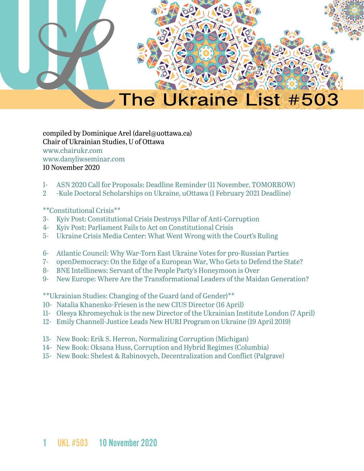

compiled by Dominique Arel (darel@uottawa.ca) Chair of Ukrainian Studies, U of Ottawa [www.chairukr.com](http://www.chairukr.com) [www.danyliwseminar.com](http://www.danyliwseminar.com) 10 November 2020

- <span id="page-0-0"></span>1- [ASN 2020 Call for Proposals: Deadline Reminder \(11 November, TOMORROW\)](#page-1-0)
- 2 [-Kule Doctoral Scholarships on Ukraine, uOttawa \(1 February 2021 Deadline\)](#page-4-0)

#### \*\*Constitutional Crisis\*\*

- 3- [Kyiv Post: Constitutional Crisis Destroys Pillar of Anti-Corruption](#page-5-0)
- 4- [Kyiv Post: Parliament Fails to Act on Constitutional Crisis](#page-12-0)
- 5- Ukraine Crisis Media Center: What Went Wrong with the Court's Ruling
- 6- [Atlantic Council: Why War-Torn East Ukraine Votes for pro-Russian Parties](#page-17-0)
- 7- [openDemocracy: On the Edge of a European War, Who Gets to Defend the State?](#page-20-0)
- 8- BNE Intellinews: Servant of the People Party's Honeymoon is Over
- 9- [New Europe: Where Are the Transformational Leaders of the Maidan Generation?](#page-30-0)

\*\*Ukrainian Studies: Changing of the Guard (and of Gender)\*\*

- 10- [Natalia Khanenko-Friesen is the new CIUS Director \(16 April\)](#page-36-0)
- 11- [Olesya Khromeychuk is the new Director of the Ukrainian Institute London \(7 April\)](#page-37-0)
- 12- [Emily Channell-Justice Leads New HURI Program on Ukraine \(19 April 2019\)](#page-38-0)
- 13- [New Book: Erik S. Herron, Normalizing Corruption \(Michigan\)](#page-39-0)
- 14- [New Book: Oksana Huss, Corruption and Hybrid Regimes \(Columbia\)](#page-40-0)
- 15- [New Book: Shelest & Rabinovych, Decentralization and Conflict \(Palgrave\)](#page-40-1)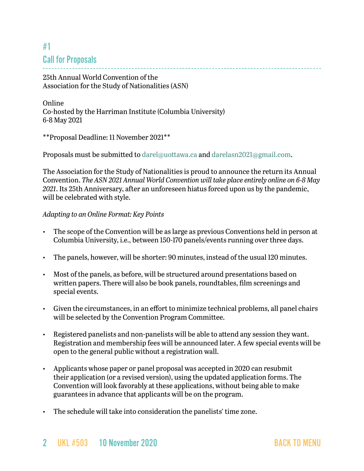# <span id="page-1-0"></span>#1 Call for Proposals

25th Annual World Convention of the Association for the Study of Nationalities (ASN)

Online Co-hosted by the Harriman Institute (Columbia University) 6-8 May 2021

\*\*Proposal Deadline: 11 November 2021\*\*

Proposals must be submitted to [darel@uottawa.ca](mailto:darel@uottawa.ca) and [darelasn2021@gmail.com](mailto:darelasn2021@gmail.com).

The Association for the Study of Nationalities is proud to announce the return its Annual Convention. *The ASN 2021 Annual World Convention will take place entirely online on 6-8 May 2021*. Its 25th Anniversary, after an unforeseen hiatus forced upon us by the pandemic, will be celebrated with style.

#### *Adapting to an Online Format: Key Points*

- The scope of the Convention will be as large as previous Conventions held in person at Columbia University, i.e., between 150-170 panels/events running over three days.
- The panels, however, will be shorter: 90 minutes, instead of the usual 120 minutes.
- Most of the panels, as before, will be structured around presentations based on written papers. There will also be book panels, roundtables, film screenings and special events.
- Given the circumstances, in an effort to minimize technical problems, all panel chairs will be selected by the Convention Program Committee.
- Registered panelists and non-panelists will be able to attend any session they want. Registration and membership fees will be announced later. A few special events will be open to the general public without a registration wall.
- Applicants whose paper or panel proposal was accepted in 2020 can resubmit their application (or a revised version), using the updated application forms. The Convention will look favorably at these applications, without being able to make guarantees in advance that applicants will be on the program.
- The schedule will take into consideration the panelists' time zone.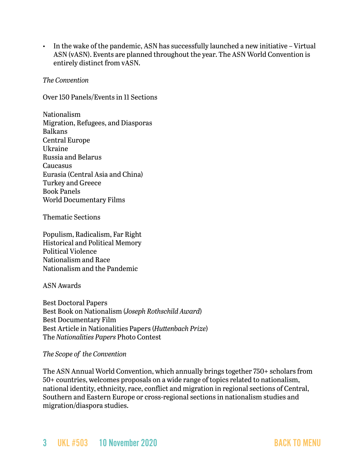• In the wake of the pandemic, ASN has successfully launched a new initiative – Virtual ASN (vASN). Events are planned throughout the year. The ASN World Convention is entirely distinct from vASN.

#### *The Convention*

Over 150 Panels/Events in 11 Sections

Nationalism Migration, Refugees, and Diasporas Balkans Central Europe Ukraine Russia and Belarus Caucasus Eurasia (Central Asia and China) Turkey and Greece Book Panels World Documentary Films

Thematic Sections

Populism, Radicalism, Far Right Historical and Political Memory Political Violence Nationalism and Race Nationalism and the Pandemic

ASN Awards

Best Doctoral Papers Best Book on Nationalism (*Joseph Rothschild Award*) Best Documentary Film Best Article in Nationalities Papers (*Huttenbach Prize*) The *Nationalities Papers* Photo Contest

#### *The Scope of the Convention*

The ASN Annual World Convention, which annually brings together 750+ scholars from 50+ countries, welcomes proposals on a wide range of topics related to nationalism, national identity, ethnicity, race, conflict and migration in regional sections of Central, Southern and Eastern Europe or cross-regional sections in nationalism studies and migration/diaspora studies.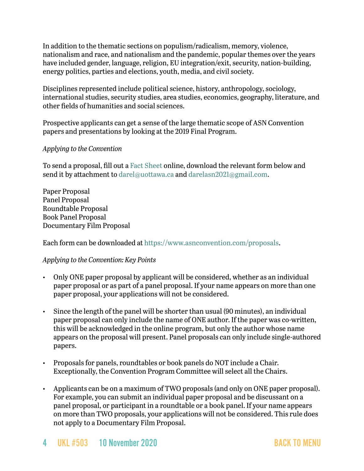In addition to the thematic sections on populism/radicalism, memory, violence, nationalism and race, and nationalism and the pandemic, popular themes over the years have included gender, language, religion, EU integration/exit, security, nation-building, energy politics, parties and elections, youth, media, and civil society.

Disciplines represented include political science, history, anthropology, sociology, international studies, security studies, area studies, economics, geography, literature, and other fields of humanities and social sciences.

Prospective applicants can get a sense of the large thematic scope of ASN Convention papers and presentations by looking at the 2019 Final Program.

#### *Applying to the Convention*

To send a proposal, fill out a [Fact Sheet](https://www.surveymonkey.com/r/ASN21) online, download the relevant form below and send it by attachment to [darel@uottawa.ca](mailto:darel@uottawa.ca) and [darelasn2021@gmail.com](mailto:darelasn2021@gmail.com).

Paper Proposal Panel Proposal Roundtable Proposal Book Panel Proposal Documentary Film Proposal

Each form can be downloaded at [https://www.asnconvention.com/proposals.](https://www.asnconvention.com/proposals)

#### *Applying to the Convention: Key Points*

- Only ONE paper proposal by applicant will be considered, whether as an individual paper proposal or as part of a panel proposal. If your name appears on more than one paper proposal, your applications will not be considered.
- Since the length of the panel will be shorter than usual (90 minutes), an individual paper proposal can only include the name of ONE author. If the paper was co-written, this will be acknowledged in the online program, but only the author whose name appears on the proposal will present. Panel proposals can only include single-authored papers.
- Proposals for panels, roundtables or book panels do NOT include a Chair. Exceptionally, the Convention Program Committee will select all the Chairs.
- Applicants can be on a maximum of TWO proposals (and only on ONE paper proposal). For example, you can submit an individual paper proposal and be discussant on a panel proposal, or participant in a roundtable or a book panel. If your name appears on more than TWO proposals, your applications will not be considered. This rule does not apply to a Documentary Film Proposal.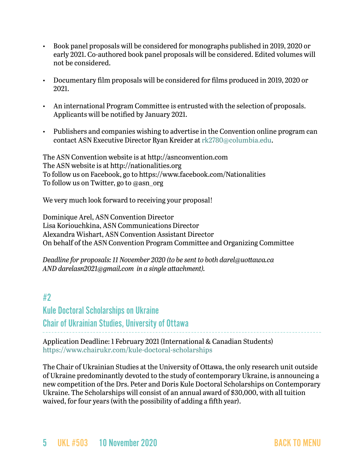- Book panel proposals will be considered for monographs published in 2019, 2020 or early 2021. Co-authored book panel proposals will be considered. Edited volumes will not be considered.
- Documentary film proposals will be considered for films produced in 2019, 2020 or 2021.
- An international Program Committee is entrusted with the selection of proposals. Applicants will be notified by January 2021.
- Publishers and companies wishing to advertise in the Convention online program can contact ASN Executive Director Ryan Kreider at [rk2780@columbia.edu.](mailto:rk2780@columbia.edu)

The ASN Convention website is at [http://asnconvention.com](http://asnconvention.com/) The ASN website is at [http://nationalities.org](http://nationalities.org/) To follow us on Facebook, go to<https://www.facebook.com/Nationalities> To follow us on Twitter, go to [@asn\\_org](https://twitter.com/ASN_Org?lang=en)

We very much look forward to receiving your proposal!

Dominique Arel, ASN Convention Director Lisa Koriouchkina, ASN Communications Director Alexandra Wishart, ASN Convention Assistant Director On behalf of the ASN Convention Program Committee and Organizing Committee

*Deadline for proposals: 11 November 2020 (to be sent to both [darel@uottawa.ca](mailto:darel@uottawa.ca) AND [darelasn2021@gmail.com](mailto:darelasn2021@gmail.com) in a single attachment).*

## <span id="page-4-0"></span>#2

Kule Doctoral Scholarships on Ukraine Chair of Ukrainian Studies, University of Ottawa

Application Deadline: 1 February 2021 (International & Canadian Students) <https://www.chairukr.com/kule-doctoral-scholarships>

The Chair of Ukrainian Studies at the University of Ottawa, the only research unit outside of Ukraine predominantly devoted to the study of contemporary Ukraine, is announcing a new competition of the Drs. Peter and Doris Kule Doctoral Scholarships on Contemporary Ukraine. The Scholarships will consist of an annual award of \$30,000, with all tuition waived, for four years (with the possibility of adding a fifth year).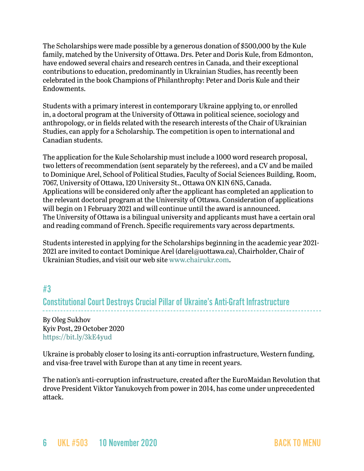The Scholarships were made possible by a generous donation of \$500,000 by the Kule family, matched by the University of Ottawa. Drs. Peter and Doris Kule, from Edmonton, have endowed several chairs and research centres in Canada, and their exceptional contributions to education, predominantly in Ukrainian Studies, has recently been celebrated in the book Champions of Philanthrophy: Peter and Doris Kule and their Endowments.

Students with a primary interest in contemporary Ukraine applying to, or enrolled in, a doctoral program at the University of Ottawa in political science, sociology and anthropology, or in fields related with the research interests of the Chair of Ukrainian Studies, can apply for a Scholarship. The competition is open to international and Canadian students.

The application for the Kule Scholarship must include a 1000 word research proposal, two letters of recommendation (sent separately by the referees), and a CV and be mailed to Dominique Arel, School of Political Studies, Faculty of Social Sciences Building, Room, 7067, University of Ottawa, 120 University St., Ottawa ON K1N 6N5, Canada. Applications will be considered only after the applicant has completed an application to the relevant doctoral program at the University of Ottawa. Consideration of applications will begin on 1 February 2021 and will continue until the award is announced. The University of Ottawa is a bilingual university and applicants must have a certain oral and reading command of French. Specific requirements vary across departments.

Students interested in applying for the Scholarships beginning in the academic year 2021 2021 are invited to contact Dominique Arel ([darel@uottawa.ca\)](mailto:darel@uottawa.ca), Chairholder, Chair of Ukrainian Studies, and visit our web site [www.chairukr.com](http://www.chairukr.com).

## <span id="page-5-0"></span>#3

Constitutional Court Destroys Crucial Pillar of Ukraine's Anti-Graft Infrastructure

By Oleg Sukhov Kyiv Post, 29 October 2020 <https://bit.ly/3kE4yud>

Ukraine is probably closer to losing its anti-corruption infrastructure, Western funding, and visa-free travel with Europe than at any time in recent years.

The nation's anti-corruption infrastructure, created after the EuroMaidan Revolution that drove President Viktor Yanukovych from power in 2014, has come under unprecedented attack.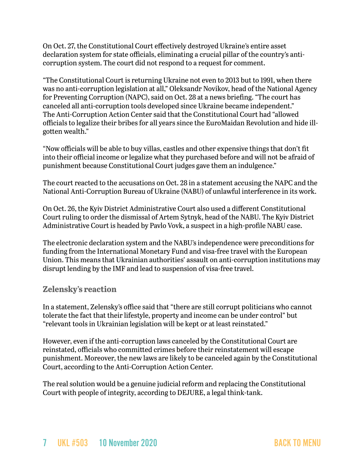On Oct. 27, the Constitutional Court effectively destroyed Ukraine's entire asset declaration system for state officials, eliminating a crucial pillar of the country's anticorruption system. The court did not respond to a request for comment.

"The Constitutional Court is returning Ukraine not even to 2013 but to 1991, when there was no anti-corruption legislation at all," Oleksandr Novikov, head of the National Agency for Preventing Corruption (NAPC), said on Oct. 28 at a news briefing. "The court has canceled all anti-corruption tools developed since Ukraine became independent." The Anti-Corruption Action Center said that the Constitutional Court had "allowed officials to legalize their bribes for all years since the EuroMaidan Revolution and hide illgotten wealth."

"Now officials will be able to buy villas, castles and other expensive things that don't fit into their official income or legalize what they purchased before and will not be afraid of punishment because Constitutional Court judges gave them an indulgence."

The court reacted to the accusations on Oct. 28 in a statement accusing the NAPC and the National Anti-Corruption Bureau of Ukraine (NABU) of unlawful interference in its work.

On Oct. 26, the Kyiv District Administrative Court also used a different Constitutional Court ruling to order the dismissal of Artem Sytnyk, head of the NABU. The Kyiv District Administrative Court is headed by Pavlo Vovk, a suspect in a high-profile NABU case.

The electronic declaration system and the NABU's independence were preconditions for funding from the International Monetary Fund and visa-free travel with the European Union. This means that Ukrainian authorities' assault on anti-corruption institutions may disrupt lending by the IMF and lead to suspension of visa-free travel.

### **Zelensky's reaction**

In a statement, Zelensky's office said that "there are still corrupt politicians who cannot tolerate the fact that their lifestyle, property and income can be under control" but "relevant tools in Ukrainian legislation will be kept or at least reinstated."

However, even if the anti-corruption laws canceled by the Constitutional Court are reinstated, officials who committed crimes before their reinstatement will escape punishment. Moreover, the new laws are likely to be canceled again by the Constitutional Court, according to the Anti-Corruption Action Center.

The real solution would be a genuine judicial reform and replacing the Constitutional Court with people of integrity, according to DEJURE, a legal think-tank.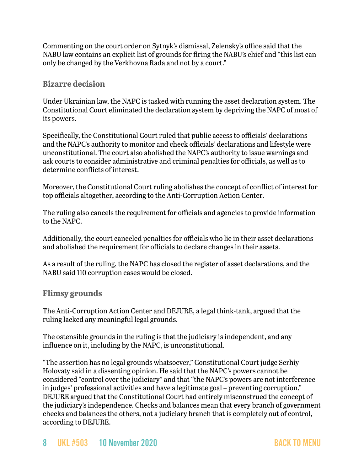Commenting on the court order on Sytnyk's dismissal, Zelensky's office said that the NABU law contains an explicit list of grounds for firing the NABU's chief and "this list can only be changed by the Verkhovna Rada and not by a court."

### **Bizarre decision**

Under Ukrainian law, the NAPC is tasked with running the asset declaration system. The Constitutional Court eliminated the declaration system by depriving the NAPC of most of its powers.

Specifically, the Constitutional Court ruled that public access to officials' declarations and the NAPC's authority to monitor and check officials' declarations and lifestyle were unconstitutional. The court also abolished the NAPC's authority to issue warnings and ask courts to consider administrative and criminal penalties for officials, as well as to determine conflicts of interest.

Moreover, the Constitutional Court ruling abolishes the concept of conflict of interest for top officials altogether, according to the Anti-Corruption Action Center.

The ruling also cancels the requirement for officials and agencies to provide information to the NAPC.

Additionally, the court canceled penalties for officials who lie in their asset declarations and abolished the requirement for officials to declare changes in their assets.

As a result of the ruling, the NAPC has closed the register of asset declarations, and the NABU said 110 corruption cases would be closed.

**Flimsy grounds**

The Anti-Corruption Action Center and DEJURE, a legal think-tank, argued that the ruling lacked any meaningful legal grounds.

The ostensible grounds in the ruling is that the judiciary is independent, and any influence on it, including by the NAPC, is unconstitutional.

"The assertion has no legal grounds whatsoever," Constitutional Court judge Serhiy Holovaty said in a dissenting opinion. He said that the NAPC's powers cannot be considered "control over the judiciary" and that "the NAPC's powers are not interference in judges' professional activities and have a legitimate goal – preventing corruption." DEJURE argued that the Constitutional Court had entirely misconstrued the concept of the judiciary's independence. Checks and balances mean that every branch of government checks and balances the others, not a judiciary branch that is completely out of control, according to DEJURE.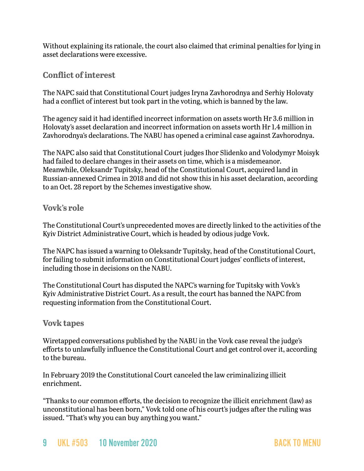Without explaining its rationale, the court also claimed that criminal penalties for lying in asset declarations were excessive.

### **Conflict of interest**

The NAPC said that Constitutional Court judges Iryna Zavhorodnya and Serhiy Holovaty had a conflict of interest but took part in the voting, which is banned by the law.

The agency said it had identified incorrect information on assets worth Hr 3.6 million in Holovaty's asset declaration and incorrect information on assets worth Hr 1.4 million in Zavhorodnya's declarations. The NABU has opened a criminal case against Zavhorodnya.

The NAPC also said that Constitutional Court judges Ihor Slidenko and Volodymyr Moisyk had failed to declare changes in their assets on time, which is a misdemeanor. Meanwhile, Oleksandr Tupitsky, head of the Constitutional Court, acquired land in Russian-annexed Crimea in 2018 and did not show this in his asset declaration, according to an Oct. 28 report by the Schemes investigative show.

#### **Vovk's role**

The Constitutional Court's unprecedented moves are directly linked to the activities of the Kyiv District Administrative Court, which is headed by odious judge Vovk.

The NAPC has issued a warning to Oleksandr Tupitsky, head of the Constitutional Court, for failing to submit information on Constitutional Court judges' conflicts of interest, including those in decisions on the NABU.

The Constitutional Court has disputed the NAPC's warning for Tupitsky with Vovk's Kyiv Administrative District Court. As a result, the court has banned the NAPC from requesting information from the Constitutional Court.

### **Vovk tapes**

Wiretapped conversations published by the NABU in the Vovk case reveal the judge's efforts to unlawfully influence the Constitutional Court and get control over it, according to the bureau.

In February 2019 the Constitutional Court canceled the law criminalizing illicit enrichment.

"Thanks to our common efforts, the decision to recognize the illicit enrichment (law) as unconstitutional has been born," Vovk told one of his court's judges after the ruling was issued. "That's why you can buy anything you want."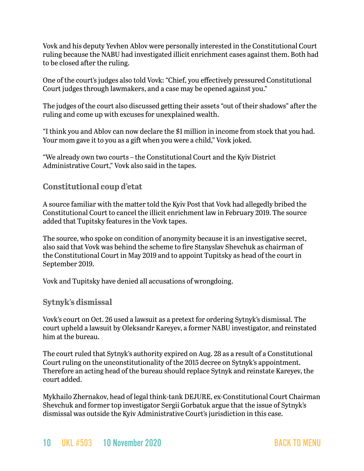Vovk and his deputy Yevhen Ablov were personally interested in the Constitutional Court ruling because the NABU had investigated illicit enrichment cases against them. Both had to be closed after the ruling.

One of the court's judges also told Vovk: "Chief, you effectively pressured Constitutional Court judges through lawmakers, and a case may be opened against you."

The judges of the court also discussed getting their assets "out of their shadows" after the ruling and come up with excuses for unexplained wealth.

"I think you and Ablov can now declare the \$1 million in income from stock that you had. Your mom gave it to you as a gift when you were a child," Vovk joked.

"We already own two courts – the Constitutional Court and the Kyiv District Administrative Court," Vovk also said in the tapes.

### **Constitutional coup d'etat**

A source familiar with the matter told the Kyiv Post that Vovk had allegedly bribed the Constitutional Court to cancel the illicit enrichment law in February 2019. The source added that Tupitsky features in the Vovk tapes.

The source, who spoke on condition of anonymity because it is an investigative secret, also said that Vovk was behind the scheme to fire Stanyslav Shevchuk as chairman of the Constitutional Court in May 2019 and to appoint Tupitsky as head of the court in September 2019.

Vovk and Tupitsky have denied all accusations of wrongdoing.

#### **Sytnyk's dismissal**

Vovk's court on Oct. 26 used a lawsuit as a pretext for ordering Sytnyk's dismissal. The court upheld a lawsuit by Oleksandr Kareyev, a former NABU investigator, and reinstated him at the bureau.

The court ruled that Sytnyk's authority expired on Aug. 28 as a result of a Constitutional Court ruling on the unconstitutionality of the 2015 decree on Sytnyk's appointment. Therefore an acting head of the bureau should replace Sytnyk and reinstate Kareyev, the court added.

Mykhailo Zhernakov, head of legal think-tank DEJURE, ex-Constitutional Court Chairman Shevchuk and former top investigator Sergii Gorbatuk argue that the issue of Sytnyk's dismissal was outside the Kyiv Administrative Court's jurisdiction in this case.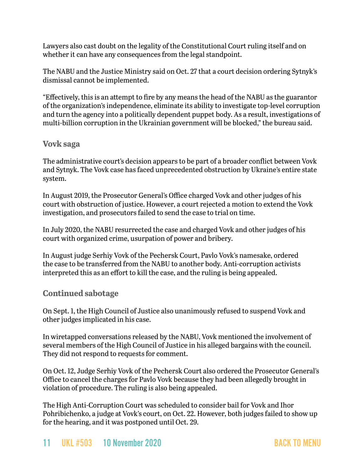Lawyers also cast doubt on the legality of the Constitutional Court ruling itself and on whether it can have any consequences from the legal standpoint.

The NABU and the Justice Ministry said on Oct. 27 that a court decision ordering Sytnyk's dismissal cannot be implemented.

"Effectively, this is an attempt to fire by any means the head of the NABU as the guarantor of the organization's independence, eliminate its ability to investigate top-level corruption and turn the agency into a politically dependent puppet body. As a result, investigations of multi-billion corruption in the Ukrainian government will be blocked," the bureau said.

#### **Vovk saga**

The administrative court's decision appears to be part of a broader conflict between Vovk and Sytnyk. The Vovk case has faced unprecedented obstruction by Ukraine's entire state system.

In August 2019, the Prosecutor General's Office charged Vovk and other judges of his court with obstruction of justice. However, a court rejected a motion to extend the Vovk investigation, and prosecutors failed to send the case to trial on time.

In July 2020, the NABU resurrected the case and charged Vovk and other judges of his court with organized crime, usurpation of power and bribery.

In August judge Serhiy Vovk of the Pechersk Court, Pavlo Vovk's namesake, ordered the case to be transferred from the NABU to another body. Anti-corruption activists interpreted this as an effort to kill the case, and the ruling is being appealed.

### **Continued sabotage**

On Sept. 1, the High Council of Justice also unanimously refused to suspend Vovk and other judges implicated in his case.

In wiretapped conversations released by the NABU, Vovk mentioned the involvement of several members of the High Council of Justice in his alleged bargains with the council. They did not respond to requests for comment.

On Oct. 12, Judge Serhiy Vovk of the Pechersk Court also ordered the Prosecutor General's Office to cancel the charges for Pavlo Vovk because they had been allegedly brought in violation of procedure. The ruling is also being appealed.

The High Anti-Corruption Court was scheduled to consider bail for Vovk and Ihor Pohribichenko, a judge at Vovk's court, on Oct. 22. However, both judges failed to show up for the hearing, and it was postponed until Oct. 29.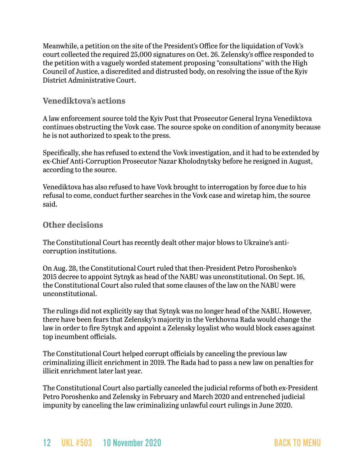Meanwhile, a petition on the site of the President's Office for the liquidation of Vovk's court collected the required 25,000 signatures on Oct. 26. Zelensky's office responded to the petition with a vaguely worded statement proposing "consultations" with the High Council of Justice, a discredited and distrusted body, on resolving the issue of the Kyiv District Administrative Court.

### **Venediktova's actions**

A law enforcement source told the Kyiv Post that Prosecutor General Iryna Venediktova continues obstructing the Vovk case. The source spoke on condition of anonymity because he is not authorized to speak to the press.

Specifically, she has refused to extend the Vovk investigation, and it had to be extended by ex-Chief Anti-Corruption Prosecutor Nazar Kholodnytsky before he resigned in August, according to the source.

Venediktova has also refused to have Vovk brought to interrogation by force due to his refusal to come, conduct further searches in the Vovk case and wiretap him, the source said.

### **Other decisions**

The Constitutional Court has recently dealt other major blows to Ukraine's anticorruption institutions.

On Aug. 28, the Constitutional Court ruled that then-President Petro Poroshenko's 2015 decree to appoint Sytnyk as head of the NABU was unconstitutional. On Sept. 16, the Constitutional Court also ruled that some clauses of the law on the NABU were unconstitutional.

The rulings did not explicitly say that Sytnyk was no longer head of the NABU. However, there have been fears that Zelensky's majority in the Verkhovna Rada would change the law in order to fire Sytnyk and appoint a Zelensky loyalist who would block cases against top incumbent officials.

The Constitutional Court helped corrupt officials by canceling the previous law criminalizing illicit enrichment in 2019. The Rada had to pass a new law on penalties for illicit enrichment later last year.

The Constitutional Court also partially canceled the judicial reforms of both ex-President Petro Poroshenko and Zelensky in February and March 2020 and entrenched judicial impunity by canceling the law criminalizing unlawful court rulings in June 2020.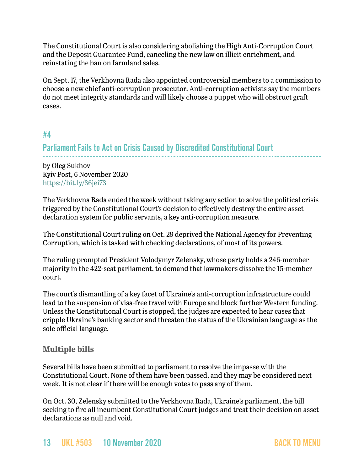The Constitutional Court is also considering abolishing the High Anti-Corruption Court and the Deposit Guarantee Fund, canceling the new law on illicit enrichment, and reinstating the ban on farmland sales.

On Sept. 17, the Verkhovna Rada also appointed controversial members to a commission to choose a new chief anti-corruption prosecutor. Anti-corruption activists say the members do not meet integrity standards and will likely choose a puppet who will obstruct graft cases.

### <span id="page-12-0"></span>#4

## Parliament Fails to Act on Crisis Caused by Discredited Constitutional Court

by Oleg Sukhov Kyiv Post, 6 November 2020 <https://bit.ly/36jei73>

The Verkhovna Rada ended the week without taking any action to solve the political crisis triggered by the Constitutional Court's decision to effectively destroy the entire asset declaration system for public servants, a key anti-corruption measure.

The Constitutional Court ruling on Oct. 29 deprived the National Agency for Preventing Corruption, which is tasked with checking declarations, of most of its powers.

The ruling prompted President Volodymyr Zelensky, whose party holds a 246-member majority in the 422-seat parliament, to demand that lawmakers dissolve the 15-member court.

The court's dismantling of a key facet of Ukraine's anti-corruption infrastructure could lead to the suspension of visa-free travel with Europe and block further Western funding. Unless the Constitutional Court is stopped, the judges are expected to hear cases that cripple Ukraine's banking sector and threaten the status of the Ukrainian language as the sole official language.

### **Multiple bills**

Several bills have been submitted to parliament to resolve the impasse with the Constitutional Court. None of them have been passed, and they may be considered next week. It is not clear if there will be enough votes to pass any of them.

On Oct. 30, Zelensky submitted to the Verkhovna Rada, Ukraine's parliament, the bill seeking to fire all incumbent Constitutional Court judges and treat their decision on asset declarations as null and void.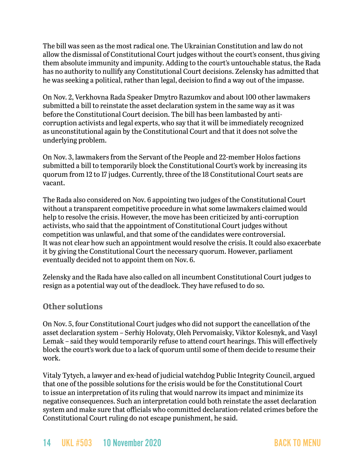The bill was seen as the most radical one. The Ukrainian Constitution and law do not allow the dismissal of Constitutional Court judges without the court's consent, thus giving them absolute immunity and impunity. Adding to the court's untouchable status, the Rada has no authority to nullify any Constitutional Court decisions. Zelensky has admitted that he was seeking a political, rather than legal, decision to find a way out of the impasse.

On Nov. 2, Verkhovna Rada Speaker Dmytro Razumkov and about 100 other lawmakers submitted a bill to reinstate the asset declaration system in the same way as it was before the Constitutional Court decision. The bill has been lambasted by anticorruption activists and legal experts, who say that it will be immediately recognized as unconstitutional again by the Constitutional Court and that it does not solve the underlying problem.

On Nov. 3, lawmakers from the Servant of the People and 22-member Holos factions submitted a bill to temporarily block the Constitutional Court's work by increasing its quorum from 12 to 17 judges. Currently, three of the 18 Constitutional Court seats are vacant.

The Rada also considered on Nov. 6 appointing two judges of the Constitutional Court without a transparent competitive procedure in what some lawmakers claimed would help to resolve the crisis. However, the move has been criticized by anti-corruption activists, who said that the appointment of Constitutional Court judges without competition was unlawful, and that some of the candidates were controversial. It was not clear how such an appointment would resolve the crisis. It could also exacerbate it by giving the Constitutional Court the necessary quorum. However, parliament eventually decided not to appoint them on Nov. 6.

Zelensky and the Rada have also called on all incumbent Constitutional Court judges to resign as a potential way out of the deadlock. They have refused to do so.

### **Other solutions**

On Nov. 5, four Constitutional Court judges who did not support the cancellation of the asset declaration system – Serhiy Holovaty, Oleh Pervomaisky, Viktor Kolesnyk, and Vasyl Lemak – said they would temporarily refuse to attend court hearings. This will effectively block the court's work due to a lack of quorum until some of them decide to resume their work.

Vitaly Tytych, a lawyer and ex-head of judicial watchdog Public Integrity Council, argued that one of the possible solutions for the crisis would be for the Constitutional Court to issue an interpretation of its ruling that would narrow its impact and minimize its negative consequences. Such an interpretation could both reinstate the asset declaration system and make sure that officials who committed declaration-related crimes before the Constitutional Court ruling do not escape punishment, he said.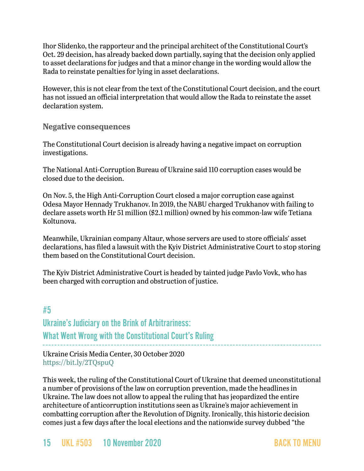Ihor Slidenko, the rapporteur and the principal architect of the Constitutional Court's Oct. 29 decision, has already backed down partially, saying that the decision only applied to asset declarations for judges and that a minor change in the wording would allow the Rada to reinstate penalties for lying in asset declarations.

However, this is not clear from the text of the Constitutional Court decision, and the court has not issued an official interpretation that would allow the Rada to reinstate the asset declaration system.

**Negative consequences**

The Constitutional Court decision is already having a negative impact on corruption investigations.

The National Anti-Corruption Bureau of Ukraine said 110 corruption cases would be closed due to the decision.

On Nov. 5, the High Anti-Corruption Court closed a major corruption case against Odesa Mayor Hennady Trukhanov. In 2019, the NABU charged Trukhanov with failing to declare assets worth Hr 51 million (\$2.1 million) owned by his common-law wife Tetiana Koltunova.

Meanwhile, Ukrainian company Altaur, whose servers are used to store officials' asset declarations, has filed a lawsuit with the Kyiv District Administrative Court to stop storing them based on the Constitutional Court decision.

The Kyiv District Administrative Court is headed by tainted judge Pavlo Vovk, who has been charged with corruption and obstruction of justice.

## #5

Ukraine's Judiciary on the Brink of Arbitrariness: What Went Wrong with the Constitutional Court's Ruling

Ukraine Crisis Media Center, 30 October 2020 <https://bit.ly/2TQspuQ>

This week, the ruling of the Constitutional Court of Ukraine that deemed unconstitutional a number of provisions of the law on corruption prevention, made the headlines in Ukraine. The law does not allow to appeal the ruling that has jeopardized the entire architecture of anticorruption institutions seen as Ukraine's major achievement in combatting corruption after the Revolution of Dignity. Ironically, this historic decision comes just a few days after the local elections and the nationwide survey dubbed "the

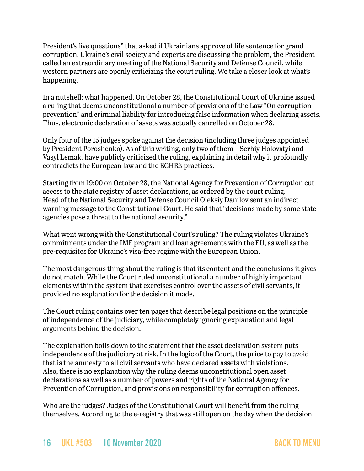President's five questions" that asked if Ukrainians approve of life sentence for grand corruption. Ukraine's civil society and experts are discussing the problem, the President called an extraordinary meeting of the National Security and Defense Council, while western partners are openly criticizing the court ruling. We take a closer look at what's happening.

In a nutshell: what happened. On October 28, the Constitutional Court of Ukraine issued a ruling that deems unconstitutional a number of provisions of the Law "On corruption prevention" and criminal liability for introducing false information when declaring assets. Thus, electronic declaration of assets was actually cancelled on October 28.

Only four of the 15 judges spoke against the decision (including three judges appointed by President Poroshenko). As of this writing, only two of them – Serhiy Holovatyi and Vasyl Lemak, have publicly criticized the ruling, explaining in detail why it profoundly contradicts the European law and the ECHR's practices.

Starting from 19:00 on October 28, the National Agency for Prevention of Corruption cut access to the state registry of asset declarations, as ordered by the court ruling. Head of the National Security and Defense Council Oleksiy Danilov sent an indirect warning message to the Constitutional Court. He said that "decisions made by some state agencies pose a threat to the national security."

What went wrong with the Constitutional Court's ruling? The ruling violates Ukraine's commitments under the IMF program and loan agreements with the EU, as well as the pre-requisites for Ukraine's visa-free regime with the European Union.

The most dangerous thing about the ruling is that its content and the conclusions it gives do not match. While the Court ruled unconstitutional a number of highly important elements within the system that exercises control over the assets of civil servants, it provided no explanation for the decision it made.

The Court ruling contains over ten pages that describe legal positions on the principle of independence of the judiciary, while completely ignoring explanation and legal arguments behind the decision.

The explanation boils down to the statement that the asset declaration system puts independence of the judiciary at risk. In the logic of the Court, the price to pay to avoid that is the amnesty to all civil servants who have declared assets with violations. Also, there is no explanation why the ruling deems unconstitutional open asset declarations as well as a number of powers and rights of the National Agency for Prevention of Corruption, and provisions on responsibility for corruption offences.

Who are the judges? Judges of the Constitutional Court will benefit from the ruling themselves. According to the e-registry that was still open on the day when the decision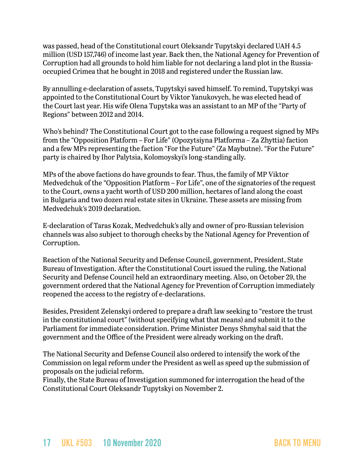was passed, head of the Constitutional court Oleksandr Tupytskyi declared UAH 4.5 million (USD 157,746) of income last year. Back then, the National Agency for Prevention of Corruption had all grounds to hold him liable for not declaring a land plot in the Russiaoccupied Crimea that he bought in 2018 and registered under the Russian law.

By annulling e-declaration of assets, Tupytskyi saved himself. To remind, Tupytskyi was appointed to the Constitutional Court by Viktor Yanukovych, he was elected head of the Court last year. His wife Olena Tupytska was an assistant to an MP of the "Party of Regions" between 2012 and 2014.

Who's behind? The Constitutional Court got to the case following a request signed by MPs from the "Opposition Platform – For Life" (Opozytsiyna Platforma – Za Zhyttia) faction and a few MPs representing the faction "For the Future" (Za Maybutne). "For the Future" party is chaired by Ihor Palytsia, Kolomoyskyi's long-standing ally.

MPs of the above factions do have grounds to fear. Thus, the family of MP Viktor Medvedchuk of the "Opposition Platform – For Life", one of the signatories of the request to the Court, owns a yacht worth of USD 200 million, hectares of land along the coast in Bulgaria and two dozen real estate sites in Ukraine. These assets are missing from Medvedchuk's 2019 declaration.

E-declaration of Taras Kozak, Medvedchuk's ally and owner of pro-Russian television channels was also subject to thorough checks by the National Agency for Prevention of Corruption.

Reaction of the National Security and Defense Council, government, President, State Bureau of Investigation. After the Constitutional Court issued the ruling, the National Security and Defense Council held an extraordinary meeting. Also, on October 29, the government ordered that the National Agency for Prevention of Corruption immediately reopened the access to the registry of e-declarations.

Besides, President Zelenskyi ordered to prepare a draft law seeking to "restore the trust in the constitutional court" (without specifying what that means) and submit it to the Parliament for immediate consideration. Prime Minister Denys Shmyhal said that the government and the Office of the President were already working on the draft.

The National Security and Defense Council also ordered to intensify the work of the Commission on legal reform under the President as well as speed up the submission of proposals on the judicial reform.

Finally, the State Bureau of Investigation summoned for interrogation the head of the Constitutional Court Oleksandr Tupytskyi on November 2.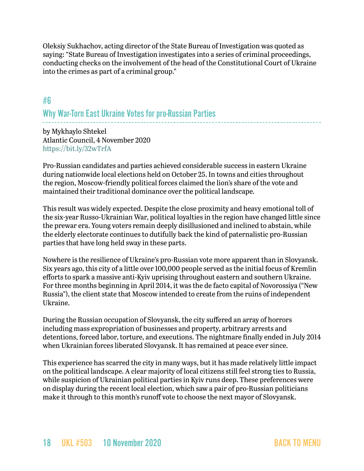Oleksiy Sukhachov, acting director of the State Bureau of Investigation was quoted as saying: "State Bureau of Investigation investigates into a series of criminal proceedings, conducting checks on the involvement of the head of the Constitutional Court of Ukraine into the crimes as part of a criminal group."

# <span id="page-17-0"></span>#6 Why War-Torn East Ukraine Votes for pro-Russian Parties

by Mykhaylo Shtekel Atlantic Council, 4 November 2020 <https://bit.ly/32wTrfA>

Pro-Russian candidates and parties achieved considerable success in eastern Ukraine during nationwide local elections held on October 25. In towns and cities throughout the region, Moscow-friendly political forces claimed the lion's share of the vote and maintained their traditional dominance over the political landscape.

This result was widely expected. Despite the close proximity and heavy emotional toll of the six-year Russo-Ukrainian War, political loyalties in the region have changed little since the prewar era. Young voters remain deeply disillusioned and inclined to abstain, while the elderly electorate continues to dutifully back the kind of paternalistic pro-Russian parties that have long held sway in these parts.

Nowhere is the resilience of Ukraine's pro-Russian vote more apparent than in Slovyansk. Six years ago, this city of a little over 100,000 people served as the initial focus of Kremlin efforts to spark a massive anti-Kyiv uprising throughout eastern and southern Ukraine. For three months beginning in April 2014, it was the de facto capital of Novorossiya ("New Russia"), the client state that Moscow intended to create from the ruins of independent Ukraine.

During the Russian occupation of Slovyansk, the city suffered an array of horrors including mass expropriation of businesses and property, arbitrary arrests and detentions, forced labor, torture, and executions. The nightmare finally ended in July 2014 when Ukrainian forces liberated Slovyansk. It has remained at peace ever since.

This experience has scarred the city in many ways, but it has made relatively little impact on the political landscape. A clear majority of local citizens still feel strong ties to Russia, while suspicion of Ukrainian political parties in Kyiv runs deep. These preferences were on display during the recent local election, which saw a pair of pro-Russian politicians make it through to this month's runoff vote to choose the next mayor of Slovyansk.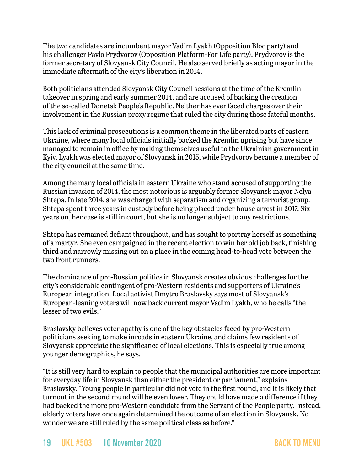The two candidates are incumbent mayor Vadim Lyakh (Opposition Bloc party) and his challenger Pavlo Prydvorov (Opposition Platform-For Life party). Prydvorov is the former secretary of Slovyansk City Council. He also served briefly as acting mayor in the immediate aftermath of the city's liberation in 2014.

Both politicians attended Slovyansk City Council sessions at the time of the Kremlin takeover in spring and early summer 2014, and are accused of backing the creation of the so-called Donetsk People's Republic. Neither has ever faced charges over their involvement in the Russian proxy regime that ruled the city during those fateful months.

This lack of criminal prosecutions is a common theme in the liberated parts of eastern Ukraine, where many local officials initially backed the Kremlin uprising but have since managed to remain in office by making themselves useful to the Ukrainian government in Kyiv. Lyakh was elected mayor of Slovyansk in 2015, while Prydvorov became a member of the city council at the same time.

Among the many local officials in eastern Ukraine who stand accused of supporting the Russian invasion of 2014, the most notorious is arguably former Slovyansk mayor Nelya Shtepa. In late 2014, she was charged with separatism and organizing a terrorist group. Shtepa spent three years in custody before being placed under house arrest in 2017. Six years on, her case is still in court, but she is no longer subject to any restrictions.

Shtepa has remained defiant throughout, and has sought to portray herself as something of a martyr. She even campaigned in the recent election to win her old job back, finishing third and narrowly missing out on a place in the coming head-to-head vote between the two front runners.

The dominance of pro-Russian politics in Slovyansk creates obvious challenges for the city's considerable contingent of pro-Western residents and supporters of Ukraine's European integration. Local activist Dmytro Braslavsky says most of Slovyansk's European-leaning voters will now back current mayor Vadim Lyakh, who he calls "the lesser of two evils."

Braslavsky believes voter apathy is one of the key obstacles faced by pro-Western politicians seeking to make inroads in eastern Ukraine, and claims few residents of Slovyansk appreciate the significance of local elections. This is especially true among younger demographics, he says.

"It is still very hard to explain to people that the municipal authorities are more important for everyday life in Slovyansk than either the president or parliament," explains Braslavsky. "Young people in particular did not vote in the first round, and it is likely that turnout in the second round will be even lower. They could have made a difference if they had backed the more pro-Western candidate from the Servant of the People party. Instead, elderly voters have once again determined the outcome of an election in Slovyansk. No wonder we are still ruled by the same political class as before."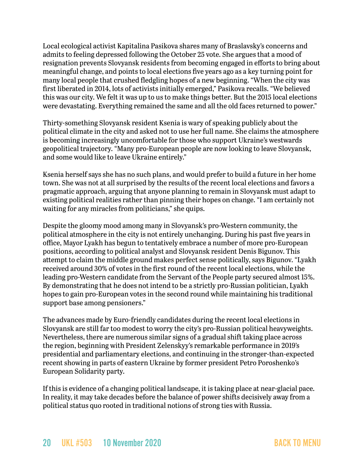Local ecological activist Kapitalina Pasikova shares many of Braslavsky's concerns and admits to feeling depressed following the October 25 vote. She argues that a mood of resignation prevents Slovyansk residents from becoming engaged in efforts to bring about meaningful change, and points to local elections five years ago as a key turning point for many local people that crushed fledgling hopes of a new beginning. "When the city was first liberated in 2014, lots of activists initially emerged," Pasikova recalls. "We believed this was our city. We felt it was up to us to make things better. But the 2015 local elections were devastating. Everything remained the same and all the old faces returned to power."

Thirty-something Slovyansk resident Ksenia is wary of speaking publicly about the political climate in the city and asked not to use her full name. She claims the atmosphere is becoming increasingly uncomfortable for those who support Ukraine's westwards geopolitical trajectory. "Many pro-European people are now looking to leave Slovyansk, and some would like to leave Ukraine entirely."

Ksenia herself says she has no such plans, and would prefer to build a future in her home town. She was not at all surprised by the results of the recent local elections and favors a pragmatic approach, arguing that anyone planning to remain in Slovyansk must adapt to existing political realities rather than pinning their hopes on change. "I am certainly not waiting for any miracles from politicians," she quips.

Despite the gloomy mood among many in Slovyansk's pro-Western community, the political atmosphere in the city is not entirely unchanging. During his past five years in office, Mayor Lyakh has begun to tentatively embrace a number of more pro-European positions, according to political analyst and Slovyansk resident Denis Bigunov. This attempt to claim the middle ground makes perfect sense politically, says Bigunov. "Lyakh received around 30% of votes in the first round of the recent local elections, while the leading pro-Western candidate from the Servant of the People party secured almost 15%. By demonstrating that he does not intend to be a strictly pro-Russian politician, Lyakh hopes to gain pro-European votes in the second round while maintaining his traditional support base among pensioners."

The advances made by Euro-friendly candidates during the recent local elections in Slovyansk are still far too modest to worry the city's pro-Russian political heavyweights. Nevertheless, there are numerous similar signs of a gradual shift taking place across the region, beginning with President Zelenskyy's remarkable performance in 2019's presidential and parliamentary elections, and continuing in the stronger-than-expected recent showing in parts of eastern Ukraine by former president Petro Poroshenko's European Solidarity party.

If this is evidence of a changing political landscape, it is taking place at near-glacial pace. In reality, it may take decades before the balance of power shifts decisively away from a political status quo rooted in traditional notions of strong ties with Russia.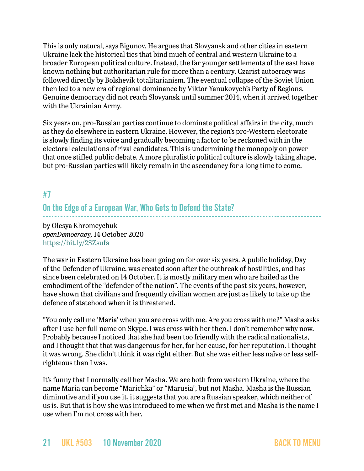This is only natural, says Bigunov. He argues that Slovyansk and other cities in eastern Ukraine lack the historical ties that bind much of central and western Ukraine to a broader European political culture. Instead, the far younger settlements of the east have known nothing but authoritarian rule for more than a century. Czarist autocracy was followed directly by Bolshevik totalitarianism. The eventual collapse of the Soviet Union then led to a new era of regional dominance by Viktor Yanukovych's Party of Regions. Genuine democracy did not reach Slovyansk until summer 2014, when it arrived together with the Ukrainian Army.

Six years on, pro-Russian parties continue to dominate political affairs in the city, much as they do elsewhere in eastern Ukraine. However, the region's pro-Western electorate is slowly finding its voice and gradually becoming a factor to be reckoned with in the electoral calculations of rival candidates. This is undermining the monopoly on power that once stifled public debate. A more pluralistic political culture is slowly taking shape, but pro-Russian parties will likely remain in the ascendancy for a long time to come.

# <span id="page-20-0"></span>#7 On the Edge of a European War, Who Gets to Defend the State?

by Olesya Khromeychuk *openDemocracy,* 14 October 2020 <https://bit.ly/2SZsufa>

The war in Eastern Ukraine has been going on for over six years. A public holiday, Day of the Defender of Ukraine, was [created](https://www.opendemocracy.net/en/odr/what-place-for-women-in-ukraine-s-memory-politics/) soon after the outbreak of hostilities, and has since been celebrated on 14 October. It is mostly military men who are hailed as the embodiment of the "defender of the nation". The events of the past six years, however, have shown that civilians and frequently civilian women are just as likely to take up the defence of statehood when it is threatened.

"You only call me 'Maria' when you are cross with me. Are you cross with me?" Masha asks after I use her full name on Skype. I was cross with her then. I don't remember why now. Probably because I noticed that she had been too friendly with the radical nationalists, and I thought that that was dangerous for her, for her cause, for her reputation. I thought it was wrong. She didn't think it was right either. But she was either less naïve or less selfrighteous than I was.

It's funny that I normally call her Masha. We are both from western Ukraine, where the name Maria can become "Marichka" or "Marusia", but not Masha. Masha is the Russian diminutive and if you use it, it suggests that you are a Russian speaker, which neither of us is. But that is how she was introduced to me when we first met and Masha is the name I use when I'm not cross with her.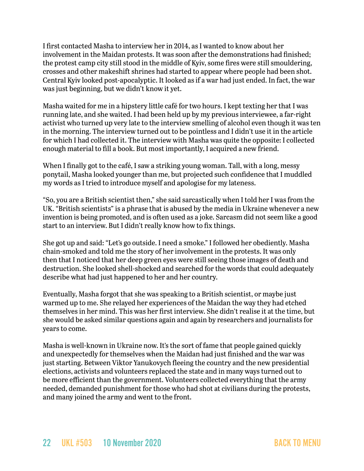I first contacted Masha to interview her in 2014, as I wanted to know about her involvement in the Maidan protests. It was soon after the demonstrations had finished; the protest camp city still stood in the middle of Kyiv, some fires were still smouldering, crosses and other makeshift shrines had started to appear where people had been shot. Central Kyiv looked post-apocalyptic. It looked as if a war had just ended. In fact, the war was just beginning, but we didn't know it yet.

Masha waited for me in a hipstery little café for two hours. I kept texting her that I was running late, and she waited. I had been held up by my previous interviewee, a far-right activist who turned up very late to the interview smelling of alcohol even though it was ten in the morning. The interview turned out to be pointless and I didn't use it in the article for which I had collected it. The interview with Masha was quite the opposite: I collected enough material to fill a book. But most importantly, I acquired a new friend.

When I finally got to the café, I saw a striking young woman. Tall, with a long, messy ponytail, Masha looked younger than me, but projected such confidence that I muddled my words as I tried to introduce myself and apologise for my lateness.

"So, you are a British scientist then," she said sarcastically when I told her I was from the UK. "British scientists" is a phrase that is abused by the media in Ukraine whenever a new invention is being promoted, and is often used as a joke. Sarcasm did not seem like a good start to an interview. But I didn't really know how to fix things.

She got up and said: "Let's go outside. I need a smoke." I followed her obediently. Masha chain-smoked and told me the story of her involvement in the protests. It was only then that I noticed that her deep green eyes were still seeing those images of death and destruction. She looked shell-shocked and searched for the words that could adequately describe what had just happened to her and her country.

Eventually, Masha forgot that she was speaking to a British scientist, or maybe just warmed up to me. She relayed her experiences of the Maidan the way they had etched themselves in her mind. This was her first interview. She didn't realise it at the time, but she would be asked similar questions again and again by researchers and journalists for years to come.

Masha is well-known in Ukraine now. It's the sort of fame that people gained quickly and unexpectedly for themselves when the Maidan had just finished and the war was just starting. Between Viktor Yanukovych fleeing the country and the new presidential elections, activists and volunteers replaced the state and in many ways turned out to be more efficient than the government. Volunteers collected everything that the army needed, demanded punishment for those who had shot at civilians during the protests, and many joined the army and went to the front.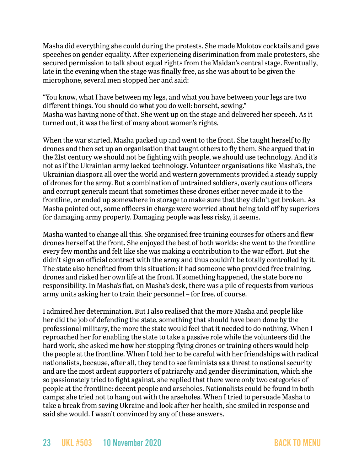Masha did everything she could during the protests. She made Molotov cocktails and gave speeches on gender equality. After experiencing discrimination from male protesters, she secured permission to talk about equal rights from the Maidan's central stage. Eventually, late in the evening when the stage was finally free, as she was about to be given the microphone, several men stopped her and said:

"You know, what I have between my legs, and what you have between your legs are two different things. You should do what you do well: borscht, sewing." Masha was having none of that. She went up on the stage and delivered her speech. As it turned out, it was the first of many about women's rights.

When the war started, Masha packed up and went to the front. She taught herself to fly drones and then set up an organisation that taught others to fly them. She argued that in the 21st century we should not be fighting with people, we should use technology. And it's not as if the Ukrainian army lacked technology. Volunteer organisations like Masha's, the Ukrainian diaspora all over the world and western governments provided a steady supply of drones for the army. But a combination of untrained soldiers, overly cautious officers and corrupt generals meant that sometimes these drones either never made it to the frontline, or ended up somewhere in storage to make sure that they didn't get broken. As Masha pointed out, some officers in charge were worried about being told off by superiors for damaging army property. Damaging people was less risky, it seems.

Masha wanted to change all this. She organised free training courses for others and flew drones herself at the front. She enjoyed the best of both worlds: she went to the frontline every few months and felt like she was making a contribution to the war effort. But she didn't sign an official contract with the army and thus couldn't be totally controlled by it. The state also benefited from this situation: it had someone who provided free training, drones and risked her own life at the front. If something happened, the state bore no responsibility. In Masha's flat, on Masha's desk, there was a pile of requests from various army units asking her to train their personnel – for free, of course.

I admired her determination. But I also realised that the more Masha and people like her did the job of defending the state, something that should have been done by the professional military, the more the state would feel that it needed to do nothing. When I reproached her for enabling the state to take a passive role while the volunteers did the hard work, she asked me how her stopping flying drones or training others would help the people at the frontline. When I told her to be careful with her friendships with radical nationalists, because, after all, they tend to see feminists as a threat to national security and are the most ardent supporters of patriarchy and gender discrimination, which she so passionately tried to fight against, she replied that there were only two categories of people at the frontline: decent people and arseholes. Nationalists could be found in both camps; she tried not to hang out with the arseholes. When I tried to persuade Masha to take a break from saving Ukraine and look after her health, she smiled in response and said she would. I wasn't convinced by any of these answers.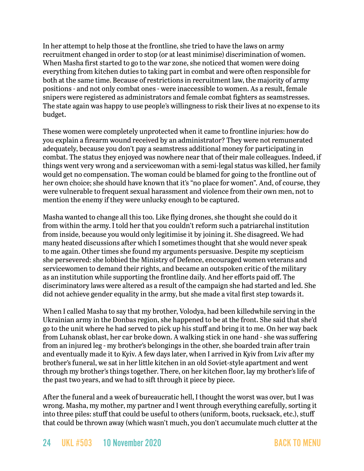In her attempt to help those at the frontline, she tried to have the laws on army recruitment changed in order to stop (or at least minimise) discrimination of women. When Masha first started to go to the war zone, she noticed that women were doing everything from kitchen duties to taking part in combat and were often responsible for both at the same time. Because of restrictions in recruitment law, the majority of army positions - and not only combat ones - were inaccessible to women. As a result, female snipers were registered as administrators and female combat fighters as seamstresses. The state again was happy to use people's willingness to risk their lives at no expense to its budget.

These women were completely unprotected when it came to frontline injuries: how do you explain a firearm wound received by an administrator? They were not remunerated adequately, because you don't pay a seamstress additional money for participating in combat. The status they enjoyed was nowhere near that of their male colleagues. Indeed, if things went very wrong and a servicewoman with a semi-legal status was killed, her family would get no compensation. The woman could be blamed for going to the frontline out of her own choice; she should have known that it's "no place for women". And, of course, they were vulnerable to frequent sexual harassment and violence from their own men, not to mention the enemy if they were unlucky enough to be captured.

Masha wanted to change all this too. Like flying drones, she thought she could do it from within the army. I told her that you couldn't reform such a patriarchal institution from inside, because you would only legitimise it by joining it. She disagreed. We had many heated discussions after which I sometimes thought that she would never speak to me again. Other times she found my arguments persuasive. Despite my scepticism she persevered: she lobbied the Ministry of Defence, encouraged women veterans and servicewomen to demand their rights, and became an outspoken critic of the military as an institution while supporting the frontline daily. And her efforts paid off. The discriminatory laws were altered as a result of the campaign she had started and led. She did not achieve gender equality in the army, but she made a vital first step towards it.

When I called Masha to say that my brother, Volodya, had been [killedw](https://www.opendemocracy.net/en/odr/ukrainian-obituary/)hile serving in the Ukrainian army in the Donbas region, she happened to be at the front. She said that she'd go to the unit where he had served to pick up his stuff and bring it to me. On her way back from Luhansk oblast, her car broke down. A walking stick in one hand - she was suffering from an injured leg - my brother's belongings in the other, she boarded train after train and eventually made it to Kyiv. A few days later, when I arrived in Kyiv from Lviv after my brother's funeral, we sat in her little kitchen in an old Soviet-style apartment and went through my brother's things together. There, on her kitchen floor, lay my brother's life of the past two years, and we had to sift through it piece by piece.

After the funeral and a week of bureaucratic hell, I thought the worst was over, but I was wrong. Masha, my mother, my partner and I went through everything carefully, sorting it into three piles: stuff that could be useful to others (uniform, boots, rucksack, etc.), stuff that could be thrown away (which wasn't much, you don't accumulate much clutter at the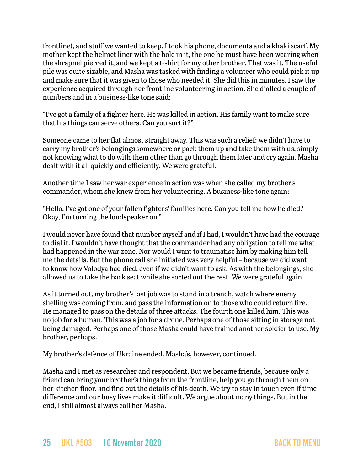frontline), and stuff we wanted to keep. I took his phone, documents and a khaki scarf. My mother kept the helmet liner with the hole in it, the one he must have been wearing when the shrapnel pierced it, and we kept a t-shirt for my other brother. That was it. The useful pile was quite sizable, and Masha was tasked with finding a volunteer who could pick it up and make sure that it was given to those who needed it. She did this in minutes. I saw the experience acquired through her frontline volunteering in action. She dialled a couple of numbers and in a business-like tone said:

"I've got a family of a fighter here. He was killed in action. His family want to make sure that his things can serve others. Can you sort it?"

Someone came to her flat almost straight away. This was such a relief: we didn't have to carry my brother's belongings somewhere or pack them up and take them with us, simply not knowing what to do with them other than go through them later and cry again. Masha dealt with it all quickly and efficiently. We were grateful.

Another time I saw her war experience in action was when she called my brother's commander, whom she knew from her volunteering. A business-like tone again:

"Hello. I've got one of your fallen fighters' families here. Can you tell me how he died? Okay, I'm turning the loudspeaker on."

I would never have found that number myself and if I had, I wouldn't have had the courage to dial it. I wouldn't have thought that the commander had any obligation to tell me what had happened in the war zone. Nor would I want to traumatise him by making him tell me the details. But the phone call she initiated was very helpful – because we did want to know how Volodya had died, even if we didn't want to ask. As with the belongings, she allowed us to take the back seat while she sorted out the rest. We were grateful again.

As it turned out, my brother's last job was to stand in a trench, watch where enemy shelling was coming from, and pass the information on to those who could return fire. He managed to pass on the details of three attacks. The fourth one killed him. This was no job for a human. This was a job for a drone. Perhaps one of those sitting in storage not being damaged. Perhaps one of those Masha could have trained another soldier to use. My brother, perhaps.

My brother's defence of Ukraine ended. Masha's, however, continued.

Masha and I met as researcher and respondent. But we became friends, because only a friend can bring your brother's things from the frontline, help you go through them on her kitchen floor, and find out the details of his death. We try to stay in touch even if time difference and our busy lives make it difficult. We argue about many things. But in the end, I still almost always call her Masha.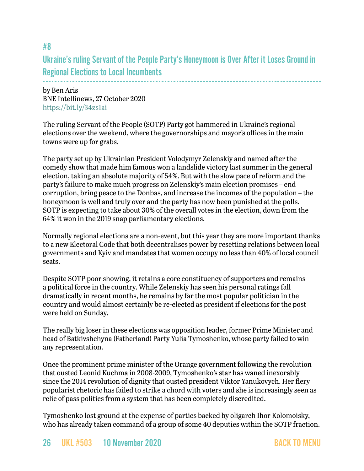# Ukraine's ruling Servant of the People Party's Honeymoon is Over After it Loses Ground in Regional Elections to Local Incumbents

by Ben Aris BNE Intellinews, 27 October 2020 <https://bit.ly/34zs1ai>

#8

The ruling Servant of the People (SOTP) Party got hammered in Ukraine's regional elections over the weekend, where the governorships and mayor's offices in the main towns were up for grabs.

The party set up by Ukrainian President Volodymyr Zelenskiy and named after the comedy show that made him famous won a landslide victory last summer in the general election, taking an absolute majority of 54%. But with the slow pace of reform and the party's failure to make much progress on Zelenskiy's main election promises – end corruption, bring peace to the Donbas, and increase the incomes of the population – the honeymoon is well and truly over and the party has now been punished at the polls. SOTP is expecting to take about 30% of the overall votes in the election, down from the 64% it won in the 2019 snap parliamentary elections.

Normally regional elections are a non-event, but this year they are more important thanks to a new Electoral Code that both decentralises power by resetting relations between local governments and Kyiv and mandates that women occupy no less than 40% of local council seats.

Despite SOTP poor showing, it retains a core constituency of supporters and remains a political force in the country. While Zelenskiy has seen his personal ratings fall dramatically in recent months, he remains by far the most popular politician in the country and would almost certainly be re-elected as president if elections for the post were held on Sunday.

The really big loser in these elections was opposition leader, former Prime Minister and head of Batkivshchyna (Fatherland) Party Yulia Tymoshenko, whose party failed to win any representation.

Once the prominent prime minister of the Orange government following the revolution that ousted Leonid Kuchma in 2008-2009, Tymoshenko's star has waned inexorably since the 2014 revolution of dignity that ousted president Viktor Yanukovych. Her fiery popularist rhetoric has failed to strike a chord with voters and she is increasingly seen as relic of pass politics from a system that has been completely discredited.

Tymoshenko lost ground at the expense of parties backed by oligarch Ihor Kolomoisky, who has already taken command of a group of some 40 deputies within the SOTP fraction.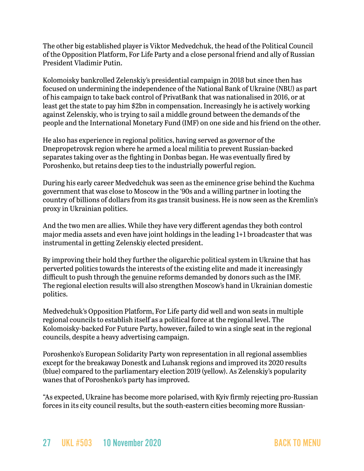The other big established player is Viktor Medvedchuk, the head of the Political Council of the Opposition Platform, For Life Party and a close personal friend and ally of Russian President Vladimir Putin.

Kolomoisky bankrolled Zelenskiy's presidential campaign in 2018 but since then has focused on undermining the independence of the National Bank of Ukraine (NBU) as part of his campaign to take back control of PrivatBank that was nationalised in 2016, or at least get the state to pay him \$2bn in compensation. Increasingly he is actively working against Zelenskiy, who is trying to sail a middle ground between the demands of the people and the International Monetary Fund (IMF) on one side and his friend on the other.

He also has experience in regional politics, having served as governor of the Dnepropetrovsk region where he armed a local militia to prevent Russian-backed separates taking over as the fighting in Donbas began. He was eventually fired by Poroshenko, but retains deep ties to the industrially powerful region.

During his early career Medvedchuk was seen as the eminence grise behind the Kuchma government that was close to Moscow in the '90s and a willing partner in looting the country of billions of dollars from its gas transit business. He is now seen as the Kremlin's proxy in Ukrainian politics.

And the two men are allies. While they have very different agendas they both control major media assets and even [have joint holdings in the leading 1+1 broadcaster](https://pro.intellinews.com/ukraine-s-eminence-grise-medvedchuk-part-owns-major-tv-station-with-kolomoisky-185425/?source=ukraine) that was instrumental in getting Zelenskiy elected president.

By improving their hold they further the oligarchic political system in Ukraine that has perverted politics towards the interests of the existing elite and made it increasingly difficult to push through the genuine reforms demanded by donors such as the IMF. The regional election results will also strengthen Moscow's hand in Ukrainian domestic politics.

Medvedchuk's Opposition Platform, For Life party did well and won seats in multiple regional councils to establish itself as a political force at the regional level. The Kolomoisky-backed For Future Party, however, failed to win a single seat in the regional councils, despite a heavy advertising campaign.

Poroshenko's European Solidarity Party won representation in all regional assemblies except for the breakaway Donestk and Luhansk regions and improved its 2020 results (blue) compared to the parliamentary election 2019 (yellow). As Zelenskiy's popularity wanes that of Poroshenko's party has improved.

"As expected, Ukraine has become more polarised, with Kyiv firmly rejecting pro-Russian forces in its city council results, but the south-eastern cities becoming more Russian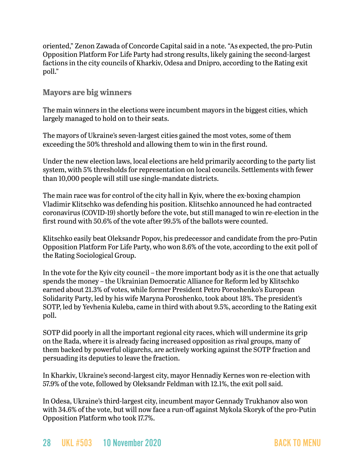oriented," Zenon Zawada of Concorde Capital said in a note. "As expected, the pro-Putin Opposition Platform For Life Party had strong results, likely gaining the second-largest factions in the city councils of Kharkiv, Odesa and Dnipro, according to the Rating exit poll."

### **Mayors are big winners**

The main winners in the elections were incumbent mayors in the biggest cities, which largely managed to hold on to their seats.

The mayors of Ukraine's seven-largest cities gained the most votes, some of them exceeding the 50% threshold and allowing them to win in the first round.

Under the new election laws, local elections are held primarily according to the party list system, with 5% thresholds for representation on local councils. Settlements with fewer than 10,000 people will still use single-mandate districts.

The main race was for control of the city hall in Kyiv, where the ex-boxing champion Vladimir Klitschko was defending his position. Klitschko announced he had contracted coronavirus (COVID-19) shortly before the vote, but still managed to win re-election in the first round with 50.6% of the vote after 99.5% of the ballots were counted.

Klitschko easily beat Oleksandr Popov, his predecessor and candidate from the pro-Putin Opposition Platform For Life Party, who won 8.6% of the vote, according to the exit poll of the Rating Sociological Group.

In the vote for the Kyiv city council – the more important body as it is the one that actually spends the money – the Ukrainian Democratic Alliance for Reform led by Klitschko earned about 21.3% of votes, while former President Petro Poroshenko's European Solidarity Party, led by his wife Maryna Poroshenko, took about 18%. The president's SOTP, led by Yevhenia Kuleba, came in third with about 9.5%, according to the Rating exit poll.

SOTP did poorly in all the important regional city races, which will undermine its grip on the Rada, where it is already facing increased opposition as rival groups, many of them backed by powerful oligarchs, are actively working against the SOTP fraction and persuading its deputies to leave the fraction.

In Kharkiv, Ukraine's second-largest city, mayor Hennadiy Kernes won re-election with 57.9% of the vote, followed by Oleksandr Feldman with 12.1%, the exit poll said.

In Odesa, Ukraine's third-largest city, incumbent mayor Gennady Trukhanov also won with 34.6% of the vote, but will now face a run-off against Mykola Skoryk of the pro-Putin Opposition Platform who took 17.7%.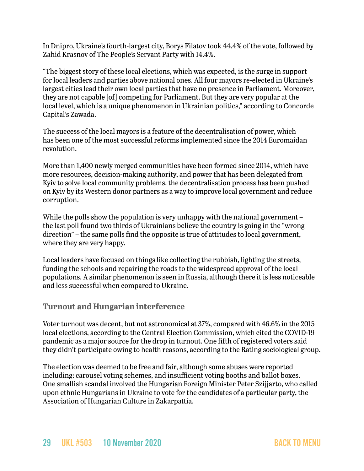In Dnipro, Ukraine's fourth-largest city, Borys Filatov took 44.4% of the vote, followed by Zahid Krasnov of The People's Servant Party with 14.4%.

"The biggest story of these local elections, which was expected, is the surge in support for local leaders and parties above national ones. All four mayors re-elected in Ukraine's largest cities lead their own local parties that have no presence in Parliament. Moreover, they are not capable [of] competing for Parliament. But they are very popular at the local level, which is a unique phenomenon in Ukrainian politics," according to Concorde Capital's Zawada.

The success of the local mayors is a feature of the decentralisation of power, which has been one of the most successful reforms implemented since the 2014 Euromaidan revolution.

More than 1,400 newly merged communities have been formed since 2014, which have more resources, decision-making authority, and power that has been delegated from Kyiv to solve local community problems. the decentralisation process has been pushed on Kyiv by its Western donor partners as a way to improve local government and reduce corruption.

While the polls show the population is very unhappy with the national government – the last poll found two thirds of Ukrainians believe the country is going in the "wrong direction" – the same polls find the opposite is true of attitudes to local government, where they are very happy.

Local leaders have focused on things like collecting the rubbish, lighting the streets, funding the schools and repairing the roads to the widespread approval of the local populations. A similar phenomenon is seen in Russia, although there it is less noticeable and less successful when compared to Ukraine.

### **Turnout and Hungarian interference**

Voter turnout was decent, but not astronomical at 37%, compared with 46.6% in the 2015 local elections, according to the Central Election Commission, which cited the COVID-19 pandemic as a major source for the drop in turnout. One fifth of registered voters said they didn't participate owing to health reasons, according to the Rating sociological group.

The election was deemed to be free and fair, although some abuses were reported including: carousel voting schemes, and insufficient voting booths and ballot boxes. One smallish scandal involved the Hungarian Foreign Minister Peter Szijjarto, who called upon ethnic Hungarians in Ukraine to vote for the candidates of a particular party, the Association of Hungarian Culture in Zakarpattia.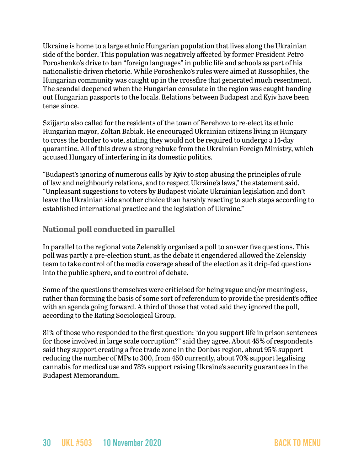Ukraine is home to a large ethnic Hungarian population that lives along the Ukrainian side of the border. This population was negatively affected by former President Petro Poroshenko's drive to ban "foreign languages" in public life and schools as part of his nationalistic driven rhetoric. While Poroshenko's rules were aimed at Russophiles, the Hungarian community was caught up in the crossfire that generated much resentment. The scandal deepened when the Hungarian consulate in the region was caught handing out Hungarian passports to the locals. Relations between Budapest and Kyiv have been tense since.

Szijjarto also called for the residents of the town of Berehovo to re-elect its ethnic Hungarian mayor, Zoltan Babiak. He encouraged Ukrainian citizens living in Hungary to cross the border to vote, stating they would not be required to undergo a 14-day quarantine. All of this drew a strong rebuke from the Ukrainian Foreign Ministry, which accused Hungary of interfering in its domestic politics.

"Budapest's ignoring of numerous calls by Kyiv to stop abusing the principles of rule of law and neighbourly relations, and to respect Ukraine's laws," the statement said. "Unpleasant suggestions to voters by Budapest violate Ukrainian legislation and don't leave the Ukrainian side another choice than harshly reacting to such steps according to established international practice and the legislation of Ukraine."

### **National poll conducted in parallel**

In parallel to the regional vote Zelenskiy organised a poll to answer five questions. This poll was partly a pre-election stunt, as the debate it engendered allowed the Zelenskiy team to take control of the media coverage ahead of the election as it drip-fed questions into the public sphere, and to control of debate.

Some of the questions themselves were criticised for being vague and/or meaningless, rather than forming the basis of some sort of referendum to provide the president's office with an agenda going forward. A third of those that voted said they ignored the poll, according to the Rating Sociological Group.

81% of those who responded to the first question: "do you support life in prison sentences for those involved in large scale corruption?" said they agree. About 45% of respondents said they support creating a free trade zone in the Donbas region, about 95% support reducing the number of MPs to 300, from 450 currently, about 70% support legalising cannabis for medical use and 78% support raising Ukraine's security guarantees in the Budapest Memorandum.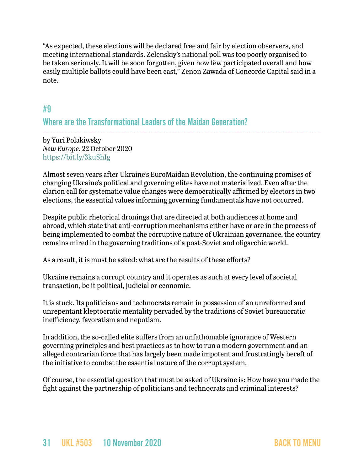"As expected, these elections will be declared free and fair by election observers, and meeting international standards. Zelenskiy's national poll was too poorly organised to be taken seriously. It will be soon forgotten, given how few participated overall and how easily multiple ballots could have been cast," Zenon Zawada of Concorde Capital said in a note.

## <span id="page-30-0"></span>#9

# Where are the Transformational Leaders of the Maidan Generation?

by Yuri Polakiwsky *New Europe*, 22 October 2020 <https://bit.ly/3kuShIg>

Almost seven years after Ukraine's EuroMaidan Revolution, the continuing promises of changing Ukraine's political and governing elites have not materialized. Even after the clarion call for systematic value changes were democratically affirmed by electors in two elections, the essential values informing governing fundamentals have not occurred.

Despite public rhetorical dronings that are directed at both audiences at home and abroad, which state that anti-corruption mechanisms either have or are in the process of being implemented to combat the corruptive nature of Ukrainian governance, the country remains mired in the governing traditions of a post-Soviet and oligarchic world.

As a result, it is must be asked: what are the results of these efforts?

Ukraine remains a corrupt country and it operates as such at every level of societal transaction, be it political, judicial or economic.

It is stuck. Its politicians and technocrats remain in possession of an unreformed and unrepentant kleptocratic mentality pervaded by the traditions of Soviet bureaucratic inefficiency, favoratism and nepotism.

In addition, the so-called elite suffers from an unfathomable ignorance of Western governing principles and best practices as to how to run a modern government and an alleged contrarian force that has largely been made impotent and frustratingly bereft of the initiative to combat the essential nature of the corrupt system.

Of course, the essential question that must be asked of Ukraine is: How have you made the fight against the partnership of politicians and technocrats and criminal interests?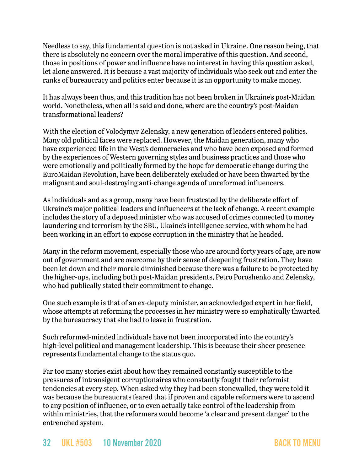Needless to say, this fundamental question is not asked in Ukraine. One reason being, that there is absolutely no concern over the moral imperative of this question. And second, those in positions of power and influence have no interest in having this question asked, let alone answered. It is because a vast majority of individuals who seek out and enter the ranks of bureaucracy and politics enter because it is an opportunity to make money.

It has always been thus, and this tradition has not been broken in Ukraine's post-Maidan world. Nonetheless, when all is said and done, where are the country's post-Maidan transformational leaders?

With the election of Volodymyr Zelensky, a new generation of leaders entered politics. Many old political faces were replaced. However, the Maidan generation, many who have experienced life in the West's democracies and who have been exposed and formed by the experiences of Western governing styles and business practices and those who were emotionally and politically formed by the hope for democratic change during the EuroMaidan Revolution, have been deliberately excluded or have been thwarted by the malignant and soul-destroying anti-change agenda of unreformed influencers.

As individuals and as a group, many have been frustrated by the deliberate effort of Ukraine's major political leaders and influencers at the lack of change. A recent example includes the story of a deposed minister who was accused of crimes connected to money laundering and terrorism by the SBU, Ukaine's intelligence service, with whom he had been working in an effort to expose corruption in the ministry that he headed.

Many in the reform movement, especially those who are around forty years of age, are now out of government and are overcome by their sense of deepening frustration. They have been let down and their morale diminished because there was a failure to be protected by the higher-ups, including both post-Maidan presidents, Petro Poroshenko and Zelensky, who had publically stated their commitment to change.

One such example is that of an ex-deputy minister, an acknowledged expert in her field, whose attempts at reforming the processes in her ministry were so emphatically thwarted by the bureaucracy that she had to leave in frustration.

Such reformed-minded individuals have not been incorporated into the country's high-level political and management leadership. This is because their sheer presence represents fundamental change to the status quo.

Far too many stories exist about how they remained constantly susceptible to the pressures of intransigent corruptionaires who constantly fought their reformist tendencies at every step. When asked why they had been stonewalled, they were told it was because the bureaucrats feared that if proven and capable reformers were to ascend to any position of influence, or to even actually take control of the leadership from within ministries, that the reformers would become 'a clear and present danger' to the entrenched system.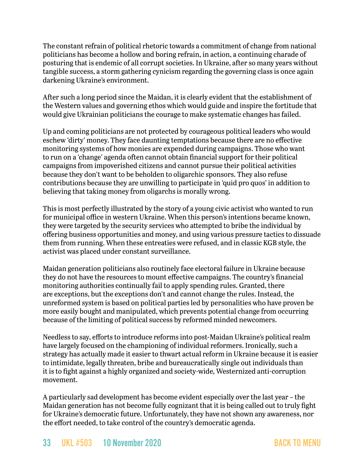The constant refrain of political rhetoric towards a commitment of change from national politicians has become a hollow and boring refrain, in action, a continuing charade of posturing that is endemic of all corrupt societies. In Ukraine, after so many years without tangible success, a storm gathering cynicism regarding the governing class is once again darkening Ukraine's environment.

After such a long period since the Maidan, it is clearly evident that the establishment of the Western values and governing ethos which would guide and inspire the fortitude that would give Ukrainian politicians the courage to make systematic changes has failed.

Up and coming politicians are not protected by courageous political leaders who would eschew 'dirty' money. They face daunting temptations because there are no effective monitoring systems of how monies are expended during campaigns. Those who want to run on a 'change' agenda often cannot obtain financial support for their political campaigns from impoverished citizens and cannot pursue their political activities because they don't want to be beholden to oligarchic sponsors. They also refuse contributions because they are unwilling to participate in 'quid pro quos' in addition to believing that taking money from oligarchs is morally wrong.

This is most perfectly illustrated by the story of a young civic activist who wanted to run for municipal office in western Ukraine. When this person's intentions became known, they were targeted by the security services who attempted to bribe the individual by offering business opportunities and money, and using various pressure tactics to dissuade them from running. When these entreaties were refused, and in classic KGB style, the activist was placed under constant surveillance.

Maidan generation politicians also routinely face electoral failure in Ukraine because they do not have the resources to mount effective campaigns. The country's financial monitoring authorities continually fail to apply spending rules. Granted, there are exceptions, but the exceptions don't and cannot change the rules. Instead, the unreformed system is based on political parties led by personalities who have proven be more easily bought and manipulated, which prevents potential change from occurring because of the limiting of political success by reformed minded newcomers.

Needless to say, efforts to introduce reforms into post-Maidan Ukraine's political realm have largely focused on the championing of individual reformers. Ironically, such a strategy has actually made it easier to thwart actual reform in Ukraine because it is easier to intimidate, legally threaten, bribe and bureaucratically single out individuals than it is to fight against a highly organized and society-wide, Westernized anti-corruption movement.

A particularly sad development has become evident especially over the last year – the Maidan generation has not become fully cognizant that it is being called out to truly fight for Ukraine's democratic future. Unfortunately, they have not shown any awareness, nor the effort needed, to take control of the country's democratic agenda.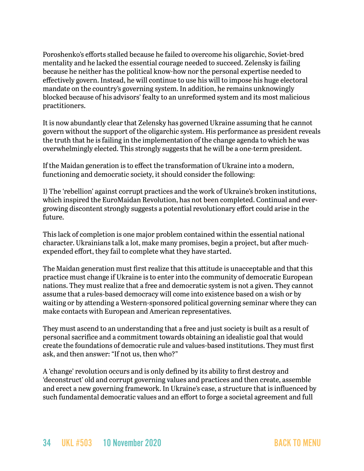Poroshenko's efforts stalled because he failed to overcome his oligarchic, Soviet-bred mentality and he lacked the essential courage needed to succeed. Zelensky is failing because he neither has the political know-how nor the personal expertise needed to effectively govern. Instead, he will continue to use his will to impose his huge electoral mandate on the country's governing system. In addition, he remains unknowingly blocked because of his advisors' fealty to an unreformed system and its most malicious practitioners.

It is now abundantly clear that Zelensky has governed Ukraine assuming that he cannot govern without the support of the oligarchic system. His performance as president reveals the truth that he is failing in the implementation of the change agenda to which he was overwhelmingly elected. This strongly suggests that he will be a one-term president.

If the Maidan generation is to effect the transformation of Ukraine into a modern, functioning and democratic society, it should consider the following:

1) The 'rebellion' against corrupt practices and the work of Ukraine's broken institutions, which inspired the EuroMaidan Revolution, has not been completed. Continual and evergrowing discontent strongly suggests a potential revolutionary effort could arise in the future.

This lack of completion is one major problem contained within the essential national character. Ukrainians talk a lot, make many promises, begin a project, but after muchexpended effort, they fail to complete what they have started.

The Maidan generation must first realize that this attitude is unacceptable and that this practice must change if Ukraine is to enter into the community of democratic European nations. They must realize that a free and democratic system is not a given. They cannot assume that a rules-based democracy will come into existence based on a wish or by waiting or by attending a Western-sponsored political governing seminar where they can make contacts with European and American representatives.

They must ascend to an understanding that a free and just society is built as a result of personal sacrifice and a commitment towards obtaining an idealistic goal that would create the foundations of democratic rule and values-based institutions. They must first ask, and then answer: "If not us, then who?"

A 'change' revolution occurs and is only defined by its ability to first destroy and 'deconstruct' old and corrupt governing values and practices and then create, assemble and erect a new governing framework. In Ukraine's case, a structure that is influenced by such fundamental democratic values and an effort to forge a societal agreement and full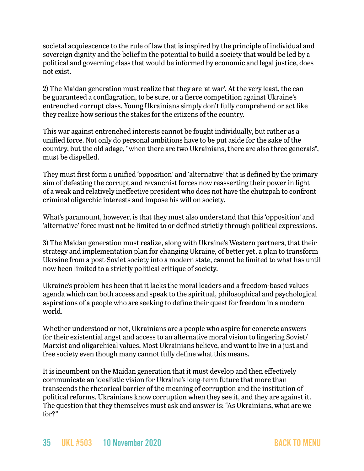societal acquiescence to the rule of law that is inspired by the principle of individual and sovereign dignity and the belief in the potential to build a society that would be led by a political and governing class that would be informed by economic and legal justice, does not exist.

2) The Maidan generation must realize that they are 'at war'. At the very least, the can be guaranteed a conflagration, to be sure, or a fierce competition against Ukraine's entrenched corrupt class. Young Ukrainians simply don't fully comprehend or act like they realize how serious the stakes for the citizens of the country.

This war against entrenched interests cannot be fought individually, but rather as a unified force. Not only do personal ambitions have to be put aside for the sake of the country, but the old adage, "when there are two Ukrainians, there are also three generals", must be dispelled.

They must first form a unified 'opposition' and 'alternative' that is defined by the primary aim of defeating the corrupt and revanchist forces now reasserting their power in light of a weak and relatively ineffective president who does not have the chutzpah to confront criminal oligarchic interests and impose his will on society.

What's paramount, however, is that they must also understand that this 'opposition' and 'alternative' force must not be limited to or defined strictly through political expressions.

3) The Maidan generation must realize, along with Ukraine's Western partners, that their strategy and implementation plan for changing Ukraine, of better yet, a plan to transform Ukraine from a post-Soviet society into a modern state, cannot be limited to what has until now been limited to a strictly political critique of society.

Ukraine's problem has been that it lacks the moral leaders and a freedom-based values agenda which can both access and speak to the spiritual, philosophical and psychological aspirations of a people who are seeking to define their quest for freedom in a modern world.

Whether understood or not, Ukrainians are a people who aspire for concrete answers for their existential angst and access to an alternative moral vision to lingering Soviet/ Marxist and oligarchical values. Most Ukrainians believe, and want to live in a just and free society even though many cannot fully define what this means.

It is incumbent on the Maidan generation that it must develop and then effectively communicate an idealistic vision for Ukraine's long-term future that more than transcends the rhetorical barrier of the meaning of corruption and the institution of political reforms. Ukrainians know corruption when they see it, and they are against it. The question that they themselves must ask and answer is: "As Ukrainians, what are we for?"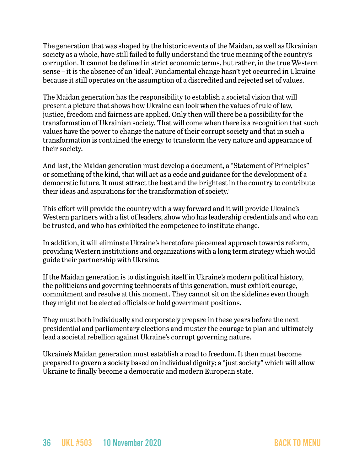The generation that was shaped by the historic events of the Maidan, as well as Ukrainian society as a whole, have still failed to fully understand the true meaning of the country's corruption. It cannot be defined in strict economic terms, but rather, in the true Western sense – it is the absence of an 'ideal'. Fundamental change hasn't yet occurred in Ukraine because it still operates on the assumption of a discredited and rejected set of values.

The Maidan generation has the responsibility to establish a societal vision that will present a picture that shows how Ukraine can look when the values of rule of law, justice, freedom and fairness are applied. Only then will there be a possibility for the transformation of Ukrainian society. That will come when there is a recognition that such values have the power to change the nature of their corrupt society and that in such a transformation is contained the energy to transform the very nature and appearance of their society.

And last, the Maidan generation must develop a document, a "Statement of Principles" or something of the kind, that will act as a code and guidance for the development of a democratic future. It must attract the best and the brightest in the country to contribute their ideas and aspirations for the transformation of society.'

This effort will provide the country with a way forward and it will provide Ukraine's Western partners with a list of leaders, show who has leadership credentials and who can be trusted, and who has exhibited the competence to institute change.

In addition, it will eliminate Ukraine's heretofore piecemeal approach towards reform, providing Western institutions and organizations with a long term strategy which would guide their partnership with Ukraine.

If the Maidan generation is to distinguish itself in Ukraine's modern political history, the politicians and governing technocrats of this generation, must exhibit courage, commitment and resolve at this moment. They cannot sit on the sidelines even though they might not be elected officials or hold government positions.

They must both individually and corporately prepare in these years before the next presidential and parliamentary elections and muster the courage to plan and ultimately lead a societal rebellion against Ukraine's corrupt governing nature.

Ukraine's Maidan generation must establish a road to freedom. It then must become prepared to govern a society based on individual dignity; a "just society" which will allow Ukraine to finally become a democratic and modern European state.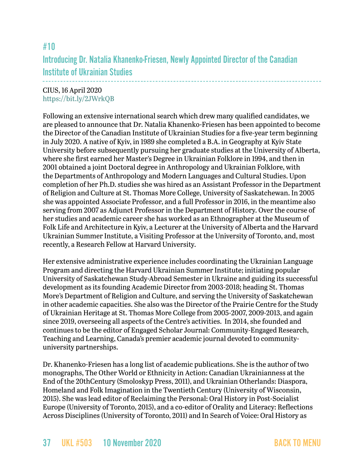# <span id="page-36-0"></span>#10 Introducing Dr. Natalia Khanenko-Friesen, Newly Appointed Director of the Canadian Institute of Ukrainian Studies

### CIUS, 16 April 2020 <https://bit.ly/2JWrkQB>

Following an extensive international search which drew many qualified candidates, we are pleased to announce that Dr. Natalia Khanenko-Friesen has been appointed to become the Director of the Canadian Institute of Ukrainian Studies for a five-year term beginning in July 2020. A native of Kyiv, in 1989 she completed a B.A. in Geography at Kyiv State University before subsequently pursuing her graduate studies at the University of Alberta, where she first earned her Master's Degree in Ukrainian Folklore in 1994, and then in 2001 obtained a joint Doctoral degree in Anthropology and Ukrainian Folklore, with the Departments of Anthropology and Modern Languages and Cultural Studies. Upon completion of her Ph.D. studies she was hired as an Assistant Professor in the Department of Religion and Culture at St. Thomas More College, University of Saskatchewan. In 2005 she was appointed Associate Professor, and a full Professor in 2016, in the meantime also serving from 2007 as Adjunct Professor in the Department of History. Over the course of her studies and academic career she has worked as an Ethnographer at the Museum of Folk Life and Architecture in Kyiv, a Lecturer at the University of Alberta and the Harvard Ukrainian Summer Institute, a Visiting Professor at the University of Toronto, and, most recently, a Research Fellow at Harvard University.

Her extensive administrative experience includes coordinating the Ukrainian Language Program and directing the Harvard Ukrainian Summer Institute; initiating popular University of Saskatchewan Study-Abroad Semester in Ukraine and guiding its successful development as its founding Academic Director from 2003-2018; heading St. Thomas More's Department of Religion and Culture, and serving the University of Saskatchewan in other academic capacities. She also was the Director of the Prairie Centre for the Study of Ukrainian Heritage at St. Thomas More College from 2005-2007, 2009-2013, and again since 2019, overseeing all aspects of the Centre's activities. In 2014, she founded and continues to be the editor of Engaged Scholar Journal: Community-Engaged Research, Teaching and Learning, Canada's premier academic journal devoted to communityuniversity partnerships.

Dr. Khanenko-Friesen has a long list of academic publications. She is the author of two monographs, The Other World or Ethnicity in Action: Canadian Ukrainianness at the End of the 20thCentury (Smoloskyp Press, 2011), and Ukrainian Otherlands: Diaspora, Homeland and Folk Imagination in the Twentieth Century (University of Wisconsin, 2015). She was lead editor of Reclaiming the Personal: Oral History in Post-Socialist Europe (University of Toronto, 2015), and a co-editor of Orality and Literacy: Reflections Across Disciplines (University of Toronto, 2011) and In Search of Voice: Oral History as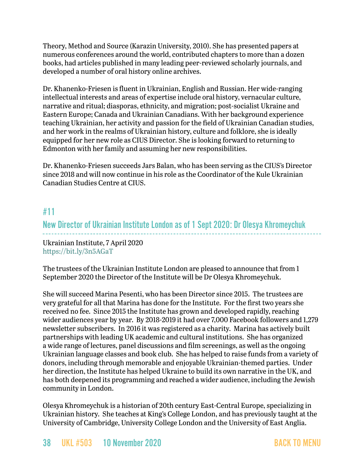Theory, Method and Source (Karazin University, 2010). She has presented papers at numerous conferences around the world, contributed chapters to more than a dozen books, had articles published in many leading peer-reviewed scholarly journals, and developed a number of oral history online archives.

Dr. Khanenko-Friesen is fluent in Ukrainian, English and Russian. Her wide-ranging intellectual interests and areas of expertise include oral history, vernacular culture, narrative and ritual; diasporas, ethnicity, and migration; post-socialist Ukraine and Eastern Europe; Canada and Ukrainian Canadians. With her background experience teaching Ukrainian, her activity and passion for the field of Ukrainian Canadian studies, and her work in the realms of Ukrainian history, culture and folklore, she is ideally equipped for her new role as CIUS Director. She is looking forward to returning to Edmonton with her family and assuming her new responsibilities.

Dr. Khanenko-Friesen succeeds Jars Balan, who has been serving as the CIUS's Director since 2018 and will now continue in his role as the Coordinator of the Kule Ukrainian Canadian Studies Centre at CIUS.

## <span id="page-37-0"></span>#11

## New Director of Ukrainian Institute London as of 1 Sept 2020: Dr Olesya Khromeychuk

Ukrainian Institute, 7 April 2020 <https://bit.ly/3n5AGaT>

The trustees of the Ukrainian Institute London are pleased to announce that from 1 September 2020 the Director of the Institute will be Dr Olesya Khromeychuk.

She will succeed Marina Pesenti, who has been Director since 2015. The trustees are very grateful for all that Marina has done for the Institute. For the first two years she received no fee. Since 2015 the Institute has grown and developed rapidly, reaching wider audiences year by year. By 2018-2019 it had over 7,000 Facebook followers and 1,279 newsletter subscribers. In 2016 it was registered as a charity. Marina has actively built partnerships with leading UK academic and cultural institutions. She has organized a wide range of lectures, panel discussions and film screenings, as well as the ongoing Ukrainian language classes and book club. She has helped to raise funds from a variety of donors, including through memorable and enjoyable Ukrainian-themed parties. Under her direction, the Institute has helped Ukraine to build its own narrative in the UK, and has both deepened its programming and reached a wider audience, including the Jewish community in London.

Olesya Khromeychuk is a historian of 20th century East-Central Europe, specializing in Ukrainian history. She teaches at King's College London, and has previously taught at the University of Cambridge, University College London and the University of East Anglia.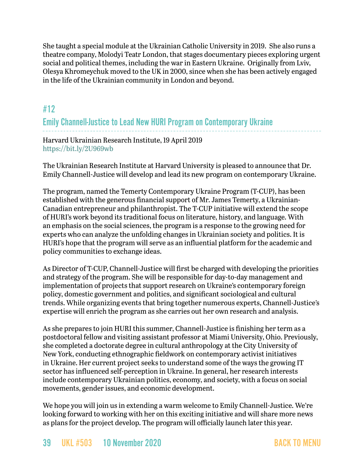She taught a special module at the Ukrainian Catholic University in 2019. She also runs a theatre company, Molodyi Teatr London, that stages documentary pieces exploring urgent social and political themes, including the war in Eastern Ukraine. Originally from Lviv, Olesya Khromeychuk moved to the UK in 2000, since when she has been actively engaged in the life of the Ukrainian community in London and beyond.

# <span id="page-38-0"></span>#12

# Emily Channell-Justice to Lead New HURI Program on Contemporary Ukraine

Harvard Ukrainian Research Institute, 19 April 2019 <https://bit.ly/2U969wb>

The Ukrainian Research Institute at Harvard University is pleased to announce that Dr. Emily Channell-Justice will develop and lead its new program on contemporary Ukraine.

The program, named the Temerty Contemporary Ukraine Program (T-CUP), has been established with the generous financial support of Mr. James Temerty, a Ukrainian-Canadian entrepreneur and philanthropist. The T-CUP initiative will extend the scope of HURI's work beyond its traditional focus on literature, history, and language. With an emphasis on the social sciences, the program is a response to the growing need for experts who can analyze the unfolding changes in Ukrainian society and politics. It is HURI's hope that the program will serve as an influential platform for the academic and policy communities to exchange ideas.

As Director of T-CUP, Channell-Justice will first be charged with developing the priorities and strategy of the program. She will be responsible for day-to-day management and implementation of projects that support research on Ukraine's contemporary foreign policy, domestic government and politics, and significant sociological and cultural trends. While organizing events that bring together numerous experts, Channell-Justice's expertise will enrich the program as she carries out her own research and analysis.

As she prepares to join HURI this summer, Channell-Justice is finishing her term as a postdoctoral fellow and visiting assistant professor at Miami University, Ohio. Previously, she completed a doctorate degree in cultural anthropology at the City University of New York, conducting ethnographic fieldwork on contemporary activist initiatives in Ukraine. Her current project seeks to understand some of the ways the growing IT sector has influenced self-perception in Ukraine. In general, her research interests include contemporary Ukrainian politics, economy, and society, with a focus on social movements, gender issues, and economic development.

We hope you will join us in extending a warm welcome to Emily Channell-Justice. We're looking forward to working with her on this exciting initiative and will share more news as plans for the project develop. The program will officially launch later this year.

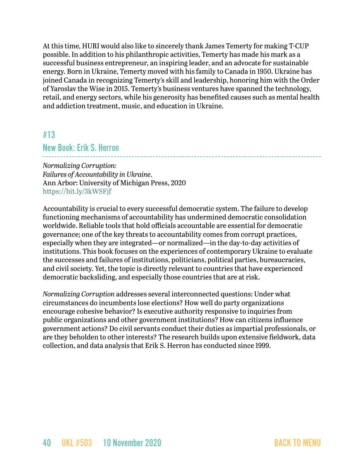At this time, HURI would also like to sincerely thank James Temerty for making T-CUP possible. In addition to his philanthropic activities, Temerty has made his mark as a successful business entrepreneur, an inspiring leader, and an advocate for sustainable energy. Born in Ukraine, Temerty moved with his family to Canada in 1950. Ukraine has joined Canada in recognizing Temerty's skill and leadership, honoring him with the Order of Yaroslav the Wise in 2015. Temerty's business ventures have spanned the technology, retail, and energy sectors, while his generosity has benefited causes such as mental health and addiction treatment, music, and education in Ukraine.

## <span id="page-39-0"></span>#13

### New Book: Erik S. Herron

*Normalizing Corruption: Failures of Accountability in Ukraine*. Ann Arbor: University of Michigan Press, 2020 <https://bit.ly/3kWSFjf>

Accountability is crucial to every successful democratic system. The failure to develop functioning mechanisms of accountability has undermined democratic consolidation worldwide. Reliable tools that hold officials accountable are essential for democratic governance; one of the key threats to accountability comes from corrupt practices, especially when they are integrated—or normalized—in the day-to-day activities of institutions. This book focuses on the experiences of contemporary Ukraine to evaluate the successes and failures of institutions, politicians, political parties, bureaucracies, and civil society. Yet, the topic is directly relevant to countries that have experienced democratic backsliding, and especially those countries that are at risk.

*Normalizing Corruption* addresses several interconnected questions: Under what circumstances do incumbents lose elections? How well do party organizations encourage cohesive behavior? Is executive authority responsive to inquiries from public organizations and other government institutions? How can citizens influence government actions? Do civil servants conduct their duties as impartial professionals, or are they beholden to other interests? The research builds upon extensive fieldwork, data collection, and data analysis that Erik S. Herron has conducted since 1999.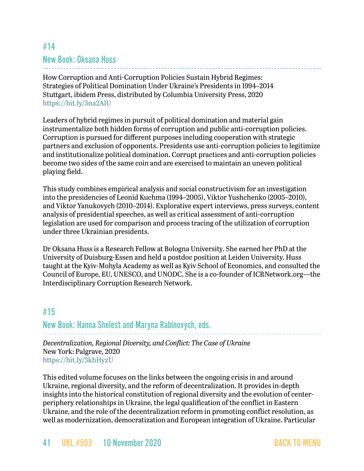# <span id="page-40-0"></span>#14 New Book: Oksana Huss

How Corruption and Anti-Corruption Policies Sustain Hybrid Regimes: Strategies of Political Domination Under Ukraine's Presidents in 1994–2014 Stuttgart, ibidem Press, distributed by Columbia University Press, 2020 <https://bit.ly/3na2AlU>

Leaders of hybrid regimes in pursuit of political domination and material gain instrumentalize both hidden forms of corruption and public anti-corruption policies. Corruption is pursued for different purposes including cooperation with strategic partners and exclusion of opponents. Presidents use anti-corruption policies to legitimize and institutionalize political domination. Corrupt practices and anti-corruption policies become two sides of the same coin and are exercised to maintain an uneven political playing field.

This study combines empirical analysis and social constructivism for an investigation into the presidencies of Leonid Kuchma (1994–2005), Viktor Yushchenko (2005–2010), and Viktor Yanukovych (2010–2014). Explorative expert interviews, press surveys, content analysis of presidential speeches, as well as critical assessment of anti-corruption legislation are used for comparison and process tracing of the utilization of corruption under three Ukrainian presidents.

Dr Oksana Huss is a Research Fellow at Bologna University. She earned her PhD at the University of Duisburg-Essen and held a postdoc position at Leiden University. Huss taught at the Kyiv-Mohyla Academy as well as Kyiv School of Economics, and consulted the Council of Europe, EU, UNESCO, and UNODC. She is a co-founder of ICRNetwork.org—the Interdisciplinary Corruption Research Network.

# <span id="page-40-1"></span>#15

New Book: Hanna Shelest and Maryna Rabinovych, eds.

*Decentralization, Regional Diversity, and Conflict: The Case of Ukraine* New York: Palgrave, 2020 <https://bit.ly/3khHyzU>

This edited volume focuses on the links between the ongoing crisis in and around Ukraine, regional diversity, and the reform of decentralization. It provides in-depth insights into the historical constitution of regional diversity and the evolution of centerperiphery relationships in Ukraine, the legal qualification of the conflict in Eastern Ukraine, and the role of the decentralization reform in promoting conflict resolution, as well as modernization, democratization and European integration of Ukraine. Particular